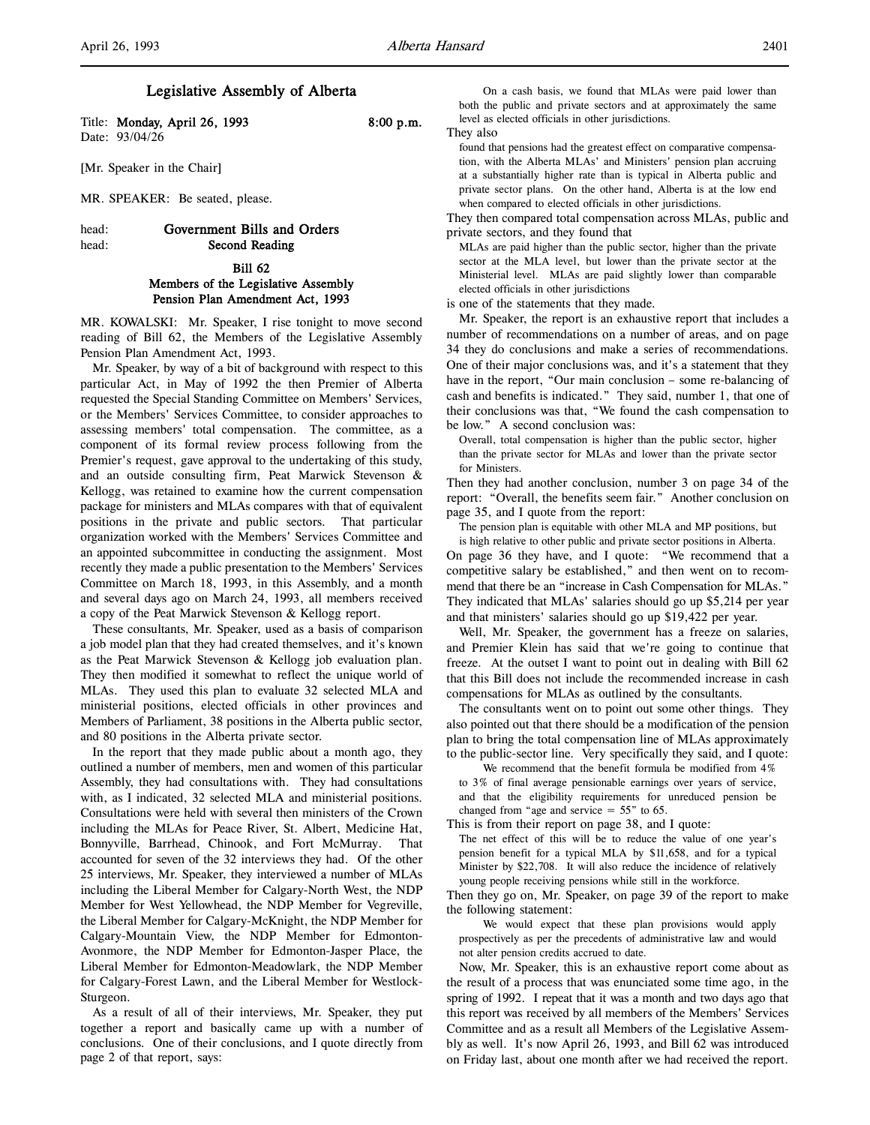Title: **Monday, April 26, 1993** 8:00 p.m. Date: 93/04/26

[Mr. Speaker in the Chair]

MR. SPEAKER: Be seated, please.

## head: Government Bills and Orders head: Second Reading

#### Bill 62

# Members of the Legislative Assembly Pension Plan Amendment Act, 1993

MR. KOWALSKI: Mr. Speaker, I rise tonight to move second reading of Bill 62, the Members of the Legislative Assembly Pension Plan Amendment Act, 1993.

Mr. Speaker, by way of a bit of background with respect to this particular Act, in May of 1992 the then Premier of Alberta requested the Special Standing Committee on Members' Services, or the Members' Services Committee, to consider approaches to assessing members' total compensation. The committee, as a component of its formal review process following from the Premier's request, gave approval to the undertaking of this study, and an outside consulting firm, Peat Marwick Stevenson & Kellogg, was retained to examine how the current compensation package for ministers and MLAs compares with that of equivalent positions in the private and public sectors. That particular organization worked with the Members' Services Committee and an appointed subcommittee in conducting the assignment. Most recently they made a public presentation to the Members' Services Committee on March 18, 1993, in this Assembly, and a month and several days ago on March 24, 1993, all members received a copy of the Peat Marwick Stevenson & Kellogg report.

These consultants, Mr. Speaker, used as a basis of comparison a job model plan that they had created themselves, and it's known as the Peat Marwick Stevenson & Kellogg job evaluation plan. They then modified it somewhat to reflect the unique world of MLAs. They used this plan to evaluate 32 selected MLA and ministerial positions, elected officials in other provinces and Members of Parliament, 38 positions in the Alberta public sector, and 80 positions in the Alberta private sector.

In the report that they made public about a month ago, they outlined a number of members, men and women of this particular Assembly, they had consultations with. They had consultations with, as I indicated, 32 selected MLA and ministerial positions. Consultations were held with several then ministers of the Crown including the MLAs for Peace River, St. Albert, Medicine Hat, Bonnyville, Barrhead, Chinook, and Fort McMurray. That accounted for seven of the 32 interviews they had. Of the other 25 interviews, Mr. Speaker, they interviewed a number of MLAs including the Liberal Member for Calgary-North West, the NDP Member for West Yellowhead, the NDP Member for Vegreville, the Liberal Member for Calgary-McKnight, the NDP Member for Calgary-Mountain View, the NDP Member for Edmonton-Avonmore, the NDP Member for Edmonton-Jasper Place, the Liberal Member for Edmonton-Meadowlark, the NDP Member for Calgary-Forest Lawn, and the Liberal Member for Westlock-Sturgeon.

As a result of all of their interviews, Mr. Speaker, they put together a report and basically came up with a number of conclusions. One of their conclusions, and I quote directly from page 2 of that report, says:

On a cash basis, we found that MLAs were paid lower than both the public and private sectors and at approximately the same level as elected officials in other jurisdictions.

### They also

found that pensions had the greatest effect on comparative compensation, with the Alberta MLAs' and Ministers' pension plan accruing at a substantially higher rate than is typical in Alberta public and private sector plans. On the other hand, Alberta is at the low end when compared to elected officials in other jurisdictions.

They then compared total compensation across MLAs, public and private sectors, and they found that

MLAs are paid higher than the public sector, higher than the private sector at the MLA level, but lower than the private sector at the Ministerial level. MLAs are paid slightly lower than comparable elected officials in other jurisdictions

is one of the statements that they made.

Mr. Speaker, the report is an exhaustive report that includes a number of recommendations on a number of areas, and on page 34 they do conclusions and make a series of recommendations. One of their major conclusions was, and it's a statement that they have in the report, "Our main conclusion – some re-balancing of cash and benefits is indicated." They said, number 1, that one of their conclusions was that, "We found the cash compensation to be low." A second conclusion was:

Overall, total compensation is higher than the public sector, higher than the private sector for MLAs and lower than the private sector for Ministers.

Then they had another conclusion, number 3 on page 34 of the report: "Overall, the benefits seem fair." Another conclusion on page 35, and I quote from the report:

The pension plan is equitable with other MLA and MP positions, but is high relative to other public and private sector positions in Alberta.

On page 36 they have, and I quote: "We recommend that a competitive salary be established," and then went on to recommend that there be an "increase in Cash Compensation for MLAs." They indicated that MLAs' salaries should go up \$5,214 per year and that ministers' salaries should go up \$19,422 per year.

Well, Mr. Speaker, the government has a freeze on salaries, and Premier Klein has said that we're going to continue that freeze. At the outset I want to point out in dealing with Bill 62 that this Bill does not include the recommended increase in cash compensations for MLAs as outlined by the consultants.

The consultants went on to point out some other things. They also pointed out that there should be a modification of the pension plan to bring the total compensation line of MLAs approximately to the public-sector line. Very specifically they said, and I quote:

We recommend that the benefit formula be modified from  $4\%$ to 3% of final average pensionable earnings over years of service, and that the eligibility requirements for unreduced pension be changed from "age and service = 55" to 65.

This is from their report on page 38, and I quote:

The net effect of this will be to reduce the value of one year's pension benefit for a typical MLA by \$11,658, and for a typical Minister by \$22,708. It will also reduce the incidence of relatively young people receiving pensions while still in the workforce.

Then they go on, Mr. Speaker, on page 39 of the report to make the following statement:

We would expect that these plan provisions would apply prospectively as per the precedents of administrative law and would not alter pension credits accrued to date.

Now, Mr. Speaker, this is an exhaustive report come about as the result of a process that was enunciated some time ago, in the spring of 1992. I repeat that it was a month and two days ago that this report was received by all members of the Members' Services Committee and as a result all Members of the Legislative Assembly as well. It's now April 26, 1993, and Bill 62 was introduced on Friday last, about one month after we had received the report.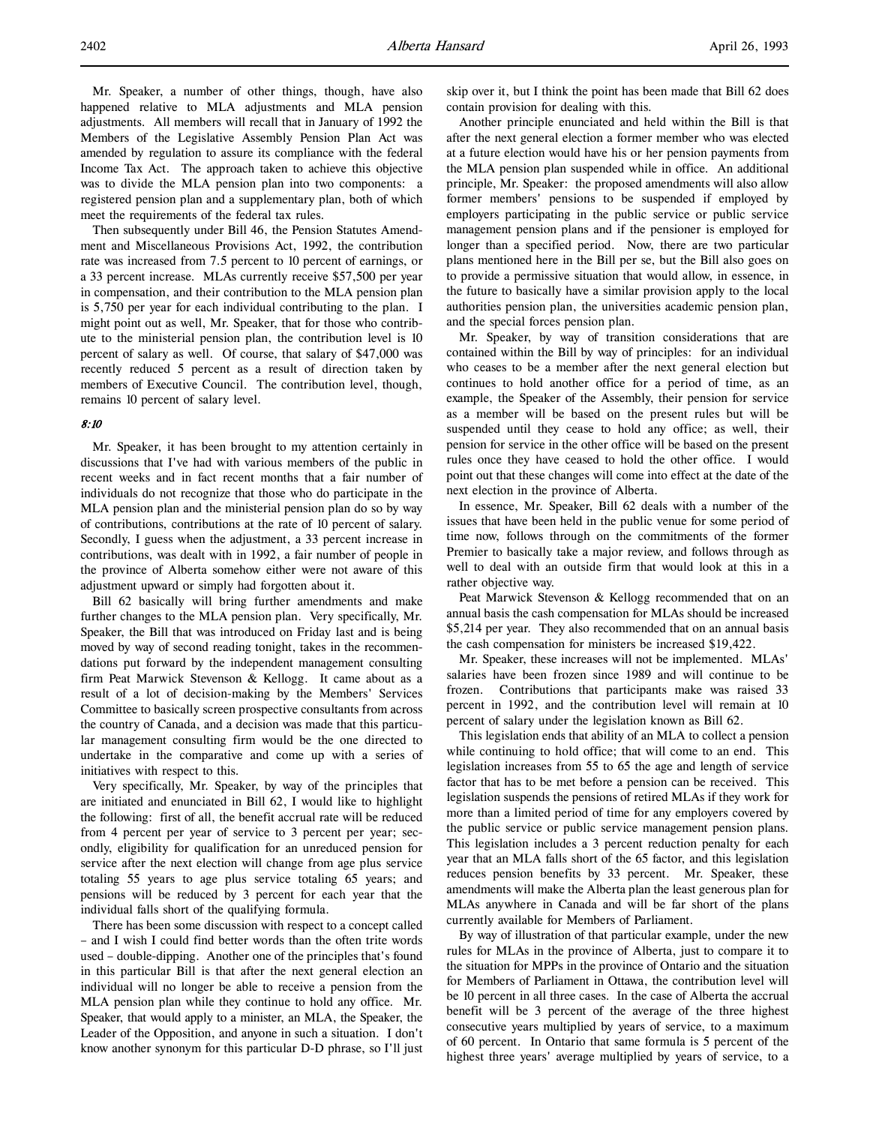Mr. Speaker, a number of other things, though, have also happened relative to MLA adjustments and MLA pension adjustments. All members will recall that in January of 1992 the Members of the Legislative Assembly Pension Plan Act was amended by regulation to assure its compliance with the federal Income Tax Act. The approach taken to achieve this objective was to divide the MLA pension plan into two components: a registered pension plan and a supplementary plan, both of which meet the requirements of the federal tax rules.

Then subsequently under Bill 46, the Pension Statutes Amendment and Miscellaneous Provisions Act, 1992, the contribution rate was increased from 7.5 percent to 10 percent of earnings, or a 33 percent increase. MLAs currently receive \$57,500 per year in compensation, and their contribution to the MLA pension plan is 5,750 per year for each individual contributing to the plan. I might point out as well, Mr. Speaker, that for those who contribute to the ministerial pension plan, the contribution level is 10 percent of salary as well. Of course, that salary of \$47,000 was recently reduced 5 percent as a result of direction taken by members of Executive Council. The contribution level, though, remains 10 percent of salary level.

### 8:10

Mr. Speaker, it has been brought to my attention certainly in discussions that I've had with various members of the public in recent weeks and in fact recent months that a fair number of individuals do not recognize that those who do participate in the MLA pension plan and the ministerial pension plan do so by way of contributions, contributions at the rate of 10 percent of salary. Secondly, I guess when the adjustment, a 33 percent increase in contributions, was dealt with in 1992, a fair number of people in the province of Alberta somehow either were not aware of this adjustment upward or simply had forgotten about it.

Bill 62 basically will bring further amendments and make further changes to the MLA pension plan. Very specifically, Mr. Speaker, the Bill that was introduced on Friday last and is being moved by way of second reading tonight, takes in the recommendations put forward by the independent management consulting firm Peat Marwick Stevenson & Kellogg. It came about as a result of a lot of decision-making by the Members' Services Committee to basically screen prospective consultants from across the country of Canada, and a decision was made that this particular management consulting firm would be the one directed to undertake in the comparative and come up with a series of initiatives with respect to this.

Very specifically, Mr. Speaker, by way of the principles that are initiated and enunciated in Bill 62, I would like to highlight the following: first of all, the benefit accrual rate will be reduced from 4 percent per year of service to 3 percent per year; secondly, eligibility for qualification for an unreduced pension for service after the next election will change from age plus service totaling 55 years to age plus service totaling 65 years; and pensions will be reduced by 3 percent for each year that the individual falls short of the qualifying formula.

There has been some discussion with respect to a concept called – and I wish I could find better words than the often trite words used – double-dipping. Another one of the principles that's found in this particular Bill is that after the next general election an individual will no longer be able to receive a pension from the MLA pension plan while they continue to hold any office. Mr. Speaker, that would apply to a minister, an MLA, the Speaker, the Leader of the Opposition, and anyone in such a situation. I don't know another synonym for this particular D-D phrase, so I'll just

skip over it, but I think the point has been made that Bill 62 does contain provision for dealing with this.

Another principle enunciated and held within the Bill is that after the next general election a former member who was elected at a future election would have his or her pension payments from the MLA pension plan suspended while in office. An additional principle, Mr. Speaker: the proposed amendments will also allow former members' pensions to be suspended if employed by employers participating in the public service or public service management pension plans and if the pensioner is employed for longer than a specified period. Now, there are two particular plans mentioned here in the Bill per se, but the Bill also goes on to provide a permissive situation that would allow, in essence, in the future to basically have a similar provision apply to the local authorities pension plan, the universities academic pension plan, and the special forces pension plan.

Mr. Speaker, by way of transition considerations that are contained within the Bill by way of principles: for an individual who ceases to be a member after the next general election but continues to hold another office for a period of time, as an example, the Speaker of the Assembly, their pension for service as a member will be based on the present rules but will be suspended until they cease to hold any office; as well, their pension for service in the other office will be based on the present rules once they have ceased to hold the other office. I would point out that these changes will come into effect at the date of the next election in the province of Alberta.

In essence, Mr. Speaker, Bill 62 deals with a number of the issues that have been held in the public venue for some period of time now, follows through on the commitments of the former Premier to basically take a major review, and follows through as well to deal with an outside firm that would look at this in a rather objective way.

Peat Marwick Stevenson & Kellogg recommended that on an annual basis the cash compensation for MLAs should be increased \$5,214 per year. They also recommended that on an annual basis the cash compensation for ministers be increased \$19,422.

Mr. Speaker, these increases will not be implemented. MLAs' salaries have been frozen since 1989 and will continue to be frozen. Contributions that participants make was raised 33 percent in 1992, and the contribution level will remain at 10 percent of salary under the legislation known as Bill 62.

This legislation ends that ability of an MLA to collect a pension while continuing to hold office; that will come to an end. This legislation increases from 55 to 65 the age and length of service factor that has to be met before a pension can be received. This legislation suspends the pensions of retired MLAs if they work for more than a limited period of time for any employers covered by the public service or public service management pension plans. This legislation includes a 3 percent reduction penalty for each year that an MLA falls short of the 65 factor, and this legislation reduces pension benefits by 33 percent. Mr. Speaker, these amendments will make the Alberta plan the least generous plan for MLAs anywhere in Canada and will be far short of the plans currently available for Members of Parliament.

By way of illustration of that particular example, under the new rules for MLAs in the province of Alberta, just to compare it to the situation for MPPs in the province of Ontario and the situation for Members of Parliament in Ottawa, the contribution level will be 10 percent in all three cases. In the case of Alberta the accrual benefit will be 3 percent of the average of the three highest consecutive years multiplied by years of service, to a maximum of 60 percent. In Ontario that same formula is 5 percent of the highest three years' average multiplied by years of service, to a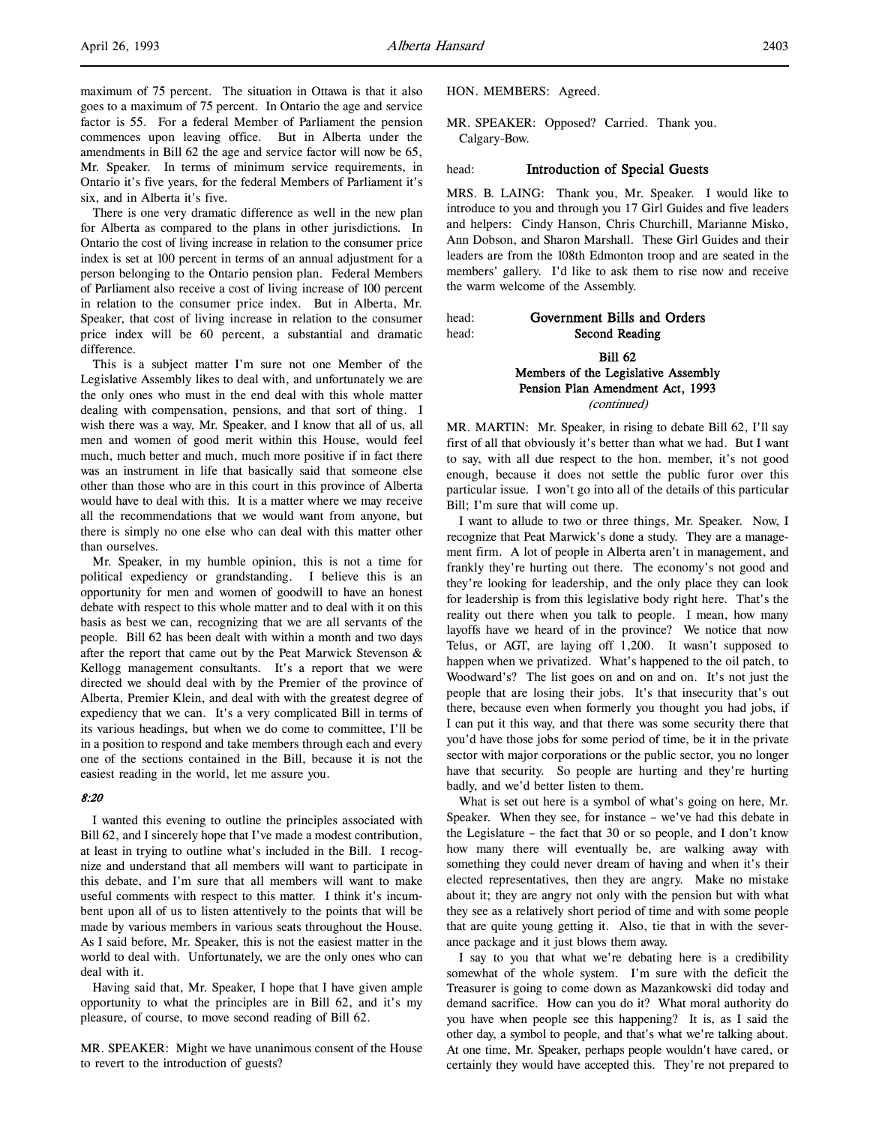maximum of 75 percent. The situation in Ottawa is that it also goes to a maximum of 75 percent. In Ontario the age and service factor is 55. For a federal Member of Parliament the pension commences upon leaving office. But in Alberta under the amendments in Bill 62 the age and service factor will now be 65, Mr. Speaker. In terms of minimum service requirements, in Ontario it's five years, for the federal Members of Parliament it's six, and in Alberta it's five.

There is one very dramatic difference as well in the new plan for Alberta as compared to the plans in other jurisdictions. In Ontario the cost of living increase in relation to the consumer price index is set at 100 percent in terms of an annual adjustment for a person belonging to the Ontario pension plan. Federal Members of Parliament also receive a cost of living increase of 100 percent in relation to the consumer price index. But in Alberta, Mr. Speaker, that cost of living increase in relation to the consumer price index will be 60 percent, a substantial and dramatic difference.

This is a subject matter I'm sure not one Member of the Legislative Assembly likes to deal with, and unfortunately we are the only ones who must in the end deal with this whole matter dealing with compensation, pensions, and that sort of thing. I wish there was a way, Mr. Speaker, and I know that all of us, all men and women of good merit within this House, would feel much, much better and much, much more positive if in fact there was an instrument in life that basically said that someone else other than those who are in this court in this province of Alberta would have to deal with this. It is a matter where we may receive all the recommendations that we would want from anyone, but there is simply no one else who can deal with this matter other than ourselves.

Mr. Speaker, in my humble opinion, this is not a time for political expediency or grandstanding. I believe this is an opportunity for men and women of goodwill to have an honest debate with respect to this whole matter and to deal with it on this basis as best we can, recognizing that we are all servants of the people. Bill 62 has been dealt with within a month and two days after the report that came out by the Peat Marwick Stevenson & Kellogg management consultants. It's a report that we were directed we should deal with by the Premier of the province of Alberta, Premier Klein, and deal with with the greatest degree of expediency that we can. It's a very complicated Bill in terms of its various headings, but when we do come to committee, I'll be in a position to respond and take members through each and every one of the sections contained in the Bill, because it is not the easiest reading in the world, let me assure you.

#### 8:20

I wanted this evening to outline the principles associated with Bill 62, and I sincerely hope that I've made a modest contribution, at least in trying to outline what's included in the Bill. I recognize and understand that all members will want to participate in this debate, and I'm sure that all members will want to make useful comments with respect to this matter. I think it's incumbent upon all of us to listen attentively to the points that will be made by various members in various seats throughout the House. As I said before, Mr. Speaker, this is not the easiest matter in the world to deal with. Unfortunately, we are the only ones who can deal with it.

Having said that, Mr. Speaker, I hope that I have given ample opportunity to what the principles are in Bill 62, and it's my pleasure, of course, to move second reading of Bill 62.

MR. SPEAKER: Might we have unanimous consent of the House to revert to the introduction of guests?

HON. MEMBERS: Agreed.

MR. SPEAKER: Opposed? Carried. Thank you. Calgary-Bow.

### head: **Introduction of Special Guests**

MRS. B. LAING: Thank you, Mr. Speaker. I would like to introduce to you and through you 17 Girl Guides and five leaders and helpers: Cindy Hanson, Chris Churchill, Marianne Misko, Ann Dobson, and Sharon Marshall. These Girl Guides and their leaders are from the 108th Edmonton troop and are seated in the members' gallery. I'd like to ask them to rise now and receive the warm welcome of the Assembly.

| head: | Government Bills and Orders |  |
|-------|-----------------------------|--|
| head: | Second Reading              |  |

## Bill 62 Members of the Legislative Assembly Pension Plan Amendment Act, 1993 (continued)

MR. MARTIN: Mr. Speaker, in rising to debate Bill 62, I'll say first of all that obviously it's better than what we had. But I want to say, with all due respect to the hon. member, it's not good enough, because it does not settle the public furor over this particular issue. I won't go into all of the details of this particular Bill; I'm sure that will come up.

I want to allude to two or three things, Mr. Speaker. Now, I recognize that Peat Marwick's done a study. They are a management firm. A lot of people in Alberta aren't in management, and frankly they're hurting out there. The economy's not good and they're looking for leadership, and the only place they can look for leadership is from this legislative body right here. That's the reality out there when you talk to people. I mean, how many layoffs have we heard of in the province? We notice that now Telus, or AGT, are laying off 1,200. It wasn't supposed to happen when we privatized. What's happened to the oil patch, to Woodward's? The list goes on and on and on. It's not just the people that are losing their jobs. It's that insecurity that's out there, because even when formerly you thought you had jobs, if I can put it this way, and that there was some security there that you'd have those jobs for some period of time, be it in the private sector with major corporations or the public sector, you no longer have that security. So people are hurting and they're hurting badly, and we'd better listen to them.

What is set out here is a symbol of what's going on here, Mr. Speaker. When they see, for instance – we've had this debate in the Legislature – the fact that 30 or so people, and I don't know how many there will eventually be, are walking away with something they could never dream of having and when it's their elected representatives, then they are angry. Make no mistake about it; they are angry not only with the pension but with what they see as a relatively short period of time and with some people that are quite young getting it. Also, tie that in with the severance package and it just blows them away.

I say to you that what we're debating here is a credibility somewhat of the whole system. I'm sure with the deficit the Treasurer is going to come down as Mazankowski did today and demand sacrifice. How can you do it? What moral authority do you have when people see this happening? It is, as I said the other day, a symbol to people, and that's what we're talking about. At one time, Mr. Speaker, perhaps people wouldn't have cared, or certainly they would have accepted this. They're not prepared to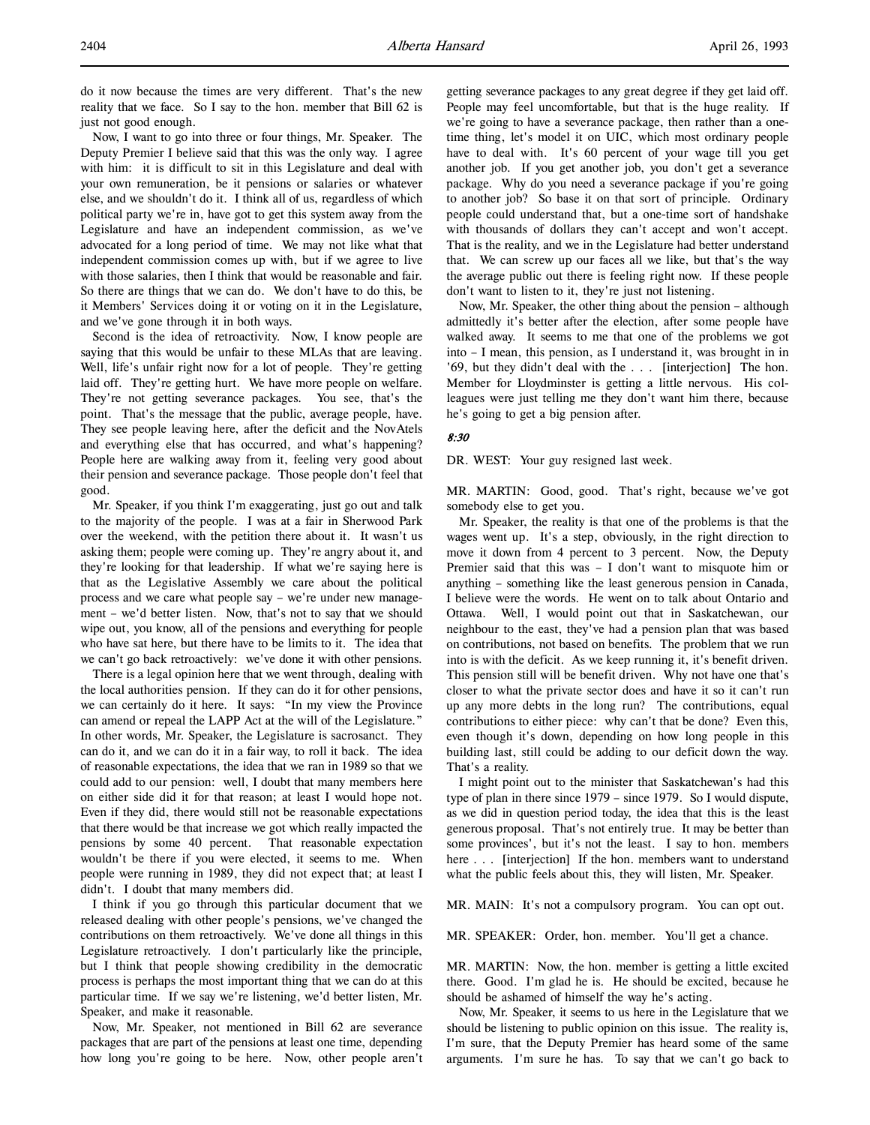Now, I want to go into three or four things, Mr. Speaker. The Deputy Premier I believe said that this was the only way. I agree with him: it is difficult to sit in this Legislature and deal with your own remuneration, be it pensions or salaries or whatever else, and we shouldn't do it. I think all of us, regardless of which political party we're in, have got to get this system away from the Legislature and have an independent commission, as we've advocated for a long period of time. We may not like what that independent commission comes up with, but if we agree to live with those salaries, then I think that would be reasonable and fair. So there are things that we can do. We don't have to do this, be it Members' Services doing it or voting on it in the Legislature, and we've gone through it in both ways.

Second is the idea of retroactivity. Now, I know people are saying that this would be unfair to these MLAs that are leaving. Well, life's unfair right now for a lot of people. They're getting laid off. They're getting hurt. We have more people on welfare. They're not getting severance packages. You see, that's the point. That's the message that the public, average people, have. They see people leaving here, after the deficit and the NovAtels and everything else that has occurred, and what's happening? People here are walking away from it, feeling very good about their pension and severance package. Those people don't feel that good.

Mr. Speaker, if you think I'm exaggerating, just go out and talk to the majority of the people. I was at a fair in Sherwood Park over the weekend, with the petition there about it. It wasn't us asking them; people were coming up. They're angry about it, and they're looking for that leadership. If what we're saying here is that as the Legislative Assembly we care about the political process and we care what people say – we're under new management – we'd better listen. Now, that's not to say that we should wipe out, you know, all of the pensions and everything for people who have sat here, but there have to be limits to it. The idea that we can't go back retroactively: we've done it with other pensions.

There is a legal opinion here that we went through, dealing with the local authorities pension. If they can do it for other pensions, we can certainly do it here. It says: "In my view the Province can amend or repeal the LAPP Act at the will of the Legislature." In other words, Mr. Speaker, the Legislature is sacrosanct. They can do it, and we can do it in a fair way, to roll it back. The idea of reasonable expectations, the idea that we ran in 1989 so that we could add to our pension: well, I doubt that many members here on either side did it for that reason; at least I would hope not. Even if they did, there would still not be reasonable expectations that there would be that increase we got which really impacted the pensions by some 40 percent. That reasonable expectation wouldn't be there if you were elected, it seems to me. When people were running in 1989, they did not expect that; at least I didn't. I doubt that many members did.

I think if you go through this particular document that we released dealing with other people's pensions, we've changed the contributions on them retroactively. We've done all things in this Legislature retroactively. I don't particularly like the principle, but I think that people showing credibility in the democratic process is perhaps the most important thing that we can do at this particular time. If we say we're listening, we'd better listen, Mr. Speaker, and make it reasonable.

Now, Mr. Speaker, not mentioned in Bill 62 are severance packages that are part of the pensions at least one time, depending how long you're going to be here. Now, other people aren't getting severance packages to any great degree if they get laid off. People may feel uncomfortable, but that is the huge reality. If we're going to have a severance package, then rather than a onetime thing, let's model it on UIC, which most ordinary people have to deal with. It's 60 percent of your wage till you get another job. If you get another job, you don't get a severance package. Why do you need a severance package if you're going to another job? So base it on that sort of principle. Ordinary people could understand that, but a one-time sort of handshake with thousands of dollars they can't accept and won't accept. That is the reality, and we in the Legislature had better understand that. We can screw up our faces all we like, but that's the way the average public out there is feeling right now. If these people don't want to listen to it, they're just not listening.

Now, Mr. Speaker, the other thing about the pension – although admittedly it's better after the election, after some people have walked away. It seems to me that one of the problems we got into – I mean, this pension, as I understand it, was brought in in '69, but they didn't deal with the . . . [interjection] The hon. Member for Lloydminster is getting a little nervous. His colleagues were just telling me they don't want him there, because he's going to get a big pension after.

### 8:30

DR. WEST: Your guy resigned last week.

MR. MARTIN: Good, good. That's right, because we've got somebody else to get you.

Mr. Speaker, the reality is that one of the problems is that the wages went up. It's a step, obviously, in the right direction to move it down from 4 percent to 3 percent. Now, the Deputy Premier said that this was – I don't want to misquote him or anything – something like the least generous pension in Canada, I believe were the words. He went on to talk about Ontario and Ottawa. Well, I would point out that in Saskatchewan, our neighbour to the east, they've had a pension plan that was based on contributions, not based on benefits. The problem that we run into is with the deficit. As we keep running it, it's benefit driven. This pension still will be benefit driven. Why not have one that's closer to what the private sector does and have it so it can't run up any more debts in the long run? The contributions, equal contributions to either piece: why can't that be done? Even this, even though it's down, depending on how long people in this building last, still could be adding to our deficit down the way. That's a reality.

I might point out to the minister that Saskatchewan's had this type of plan in there since 1979 – since 1979. So I would dispute, as we did in question period today, the idea that this is the least generous proposal. That's not entirely true. It may be better than some provinces', but it's not the least. I say to hon. members here . . . [interjection] If the hon. members want to understand what the public feels about this, they will listen, Mr. Speaker.

MR. MAIN: It's not a compulsory program. You can opt out.

MR. SPEAKER: Order, hon. member. You'll get a chance.

MR. MARTIN: Now, the hon. member is getting a little excited there. Good. I'm glad he is. He should be excited, because he should be ashamed of himself the way he's acting.

Now, Mr. Speaker, it seems to us here in the Legislature that we should be listening to public opinion on this issue. The reality is, I'm sure, that the Deputy Premier has heard some of the same arguments. I'm sure he has. To say that we can't go back to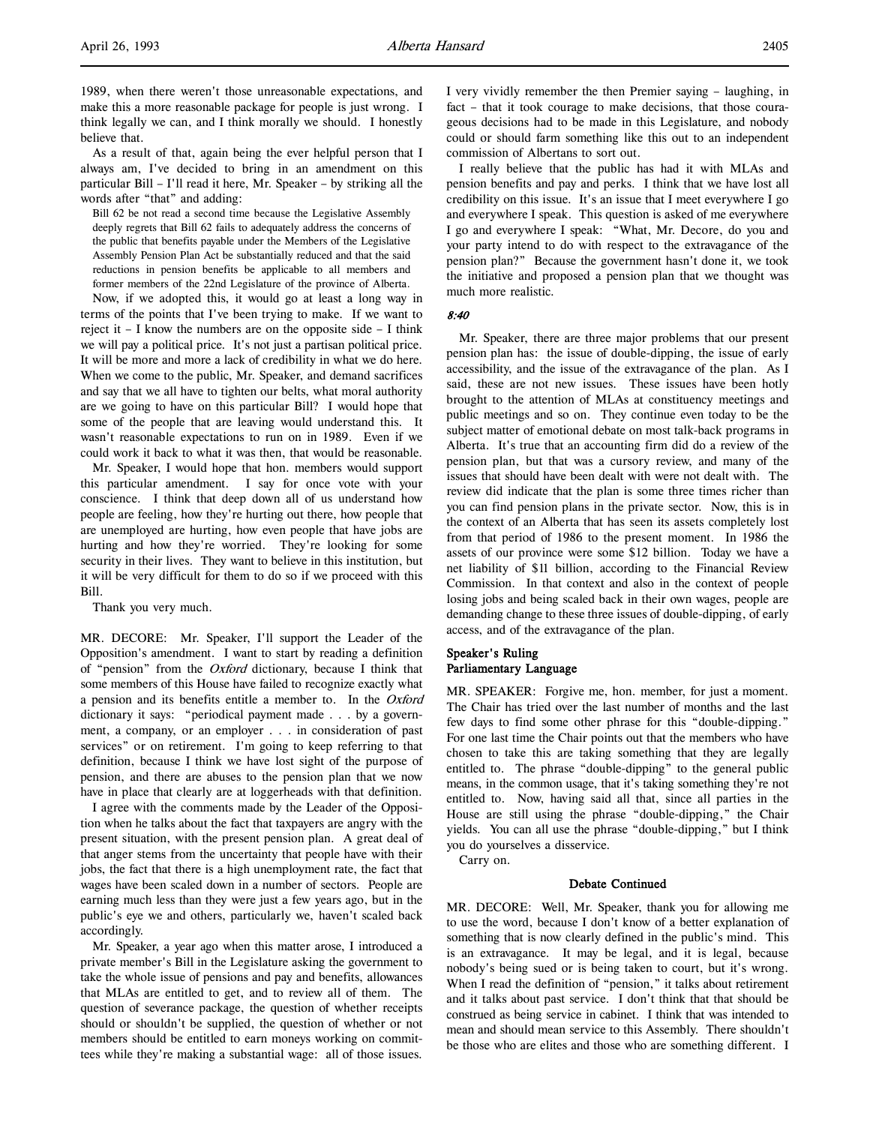l,

1989, when there weren't those unreasonable expectations, and make this a more reasonable package for people is just wrong. I think legally we can, and I think morally we should. I honestly believe that.

As a result of that, again being the ever helpful person that I always am, I've decided to bring in an amendment on this particular Bill – I'll read it here, Mr. Speaker – by striking all the words after "that" and adding:

Bill 62 be not read a second time because the Legislative Assembly deeply regrets that Bill 62 fails to adequately address the concerns of the public that benefits payable under the Members of the Legislative Assembly Pension Plan Act be substantially reduced and that the said reductions in pension benefits be applicable to all members and former members of the 22nd Legislature of the province of Alberta.

Now, if we adopted this, it would go at least a long way in terms of the points that I've been trying to make. If we want to reject it  $- I$  know the numbers are on the opposite side  $- I$  think we will pay a political price. It's not just a partisan political price. It will be more and more a lack of credibility in what we do here. When we come to the public, Mr. Speaker, and demand sacrifices and say that we all have to tighten our belts, what moral authority are we going to have on this particular Bill? I would hope that some of the people that are leaving would understand this. It wasn't reasonable expectations to run on in 1989. Even if we could work it back to what it was then, that would be reasonable.

Mr. Speaker, I would hope that hon. members would support this particular amendment. I say for once vote with your conscience. I think that deep down all of us understand how people are feeling, how they're hurting out there, how people that are unemployed are hurting, how even people that have jobs are hurting and how they're worried. They're looking for some security in their lives. They want to believe in this institution, but it will be very difficult for them to do so if we proceed with this Bill.

Thank you very much.

MR. DECORE: Mr. Speaker, I'll support the Leader of the Opposition's amendment. I want to start by reading a definition of "pension" from the Oxford dictionary, because I think that some members of this House have failed to recognize exactly what a pension and its benefits entitle a member to. In the Oxford dictionary it says: "periodical payment made . . . by a government, a company, or an employer . . . in consideration of past services" or on retirement. I'm going to keep referring to that definition, because I think we have lost sight of the purpose of pension, and there are abuses to the pension plan that we now have in place that clearly are at loggerheads with that definition.

I agree with the comments made by the Leader of the Opposition when he talks about the fact that taxpayers are angry with the present situation, with the present pension plan. A great deal of that anger stems from the uncertainty that people have with their jobs, the fact that there is a high unemployment rate, the fact that wages have been scaled down in a number of sectors. People are earning much less than they were just a few years ago, but in the public's eye we and others, particularly we, haven't scaled back accordingly.

Mr. Speaker, a year ago when this matter arose, I introduced a private member's Bill in the Legislature asking the government to take the whole issue of pensions and pay and benefits, allowances that MLAs are entitled to get, and to review all of them. The question of severance package, the question of whether receipts should or shouldn't be supplied, the question of whether or not members should be entitled to earn moneys working on committees while they're making a substantial wage: all of those issues.

I very vividly remember the then Premier saying – laughing, in fact – that it took courage to make decisions, that those courageous decisions had to be made in this Legislature, and nobody could or should farm something like this out to an independent commission of Albertans to sort out.

I really believe that the public has had it with MLAs and pension benefits and pay and perks. I think that we have lost all credibility on this issue. It's an issue that I meet everywhere I go and everywhere I speak. This question is asked of me everywhere I go and everywhere I speak: "What, Mr. Decore, do you and your party intend to do with respect to the extravagance of the pension plan?" Because the government hasn't done it, we took the initiative and proposed a pension plan that we thought was much more realistic.

8:40

Mr. Speaker, there are three major problems that our present pension plan has: the issue of double-dipping, the issue of early accessibility, and the issue of the extravagance of the plan. As I said, these are not new issues. These issues have been hotly brought to the attention of MLAs at constituency meetings and public meetings and so on. They continue even today to be the subject matter of emotional debate on most talk-back programs in Alberta. It's true that an accounting firm did do a review of the pension plan, but that was a cursory review, and many of the issues that should have been dealt with were not dealt with. The review did indicate that the plan is some three times richer than you can find pension plans in the private sector. Now, this is in the context of an Alberta that has seen its assets completely lost from that period of 1986 to the present moment. In 1986 the assets of our province were some \$12 billion. Today we have a net liability of \$11 billion, according to the Financial Review Commission. In that context and also in the context of people losing jobs and being scaled back in their own wages, people are demanding change to these three issues of double-dipping, of early access, and of the extravagance of the plan.

### Speaker's Ruling Parliamentary Language

MR. SPEAKER: Forgive me, hon. member, for just a moment. The Chair has tried over the last number of months and the last few days to find some other phrase for this "double-dipping." For one last time the Chair points out that the members who have chosen to take this are taking something that they are legally entitled to. The phrase "double-dipping" to the general public means, in the common usage, that it's taking something they're not entitled to. Now, having said all that, since all parties in the House are still using the phrase "double-dipping," the Chair yields. You can all use the phrase "double-dipping," but I think you do yourselves a disservice.

Carry on.

## Debate Continued

MR. DECORE: Well, Mr. Speaker, thank you for allowing me to use the word, because I don't know of a better explanation of something that is now clearly defined in the public's mind. This is an extravagance. It may be legal, and it is legal, because nobody's being sued or is being taken to court, but it's wrong. When I read the definition of "pension," it talks about retirement and it talks about past service. I don't think that that should be construed as being service in cabinet. I think that was intended to mean and should mean service to this Assembly. There shouldn't be those who are elites and those who are something different. I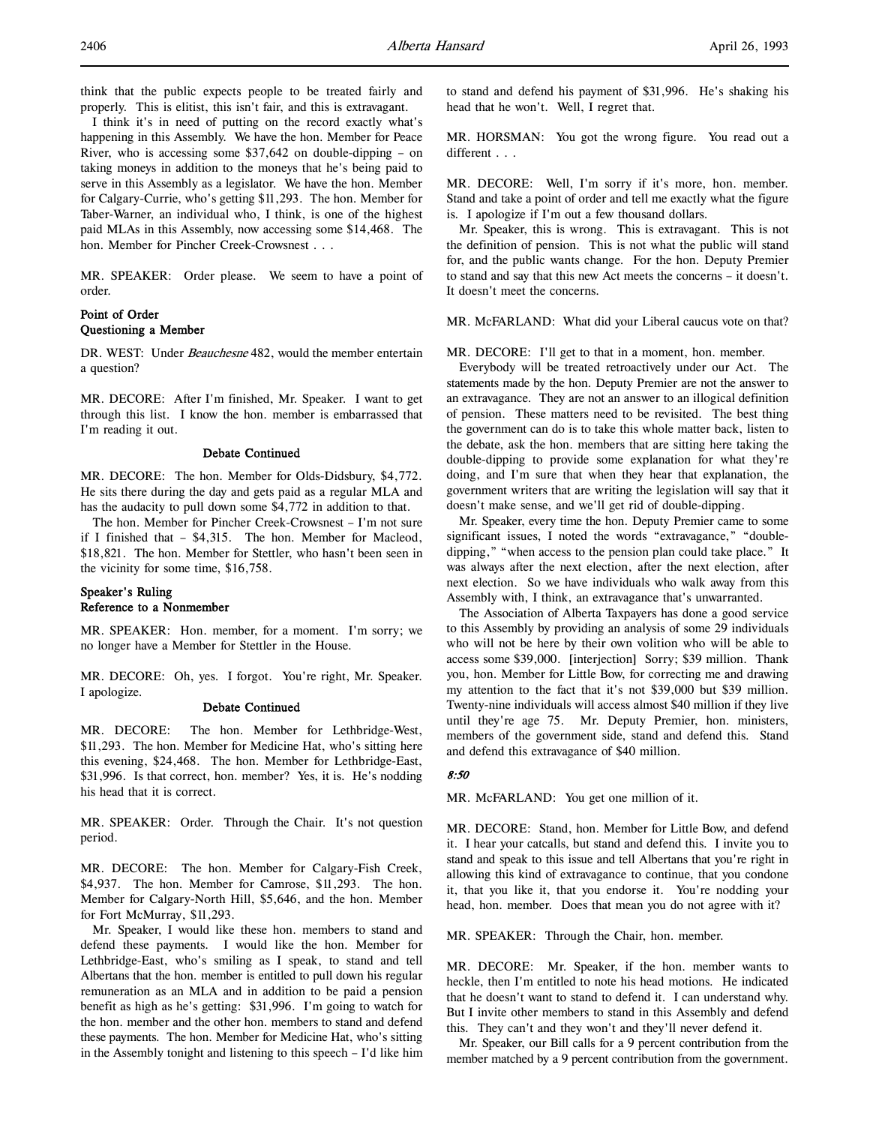think that the public expects people to be treated fairly and properly. This is elitist, this isn't fair, and this is extravagant.

I think it's in need of putting on the record exactly what's happening in this Assembly. We have the hon. Member for Peace River, who is accessing some \$37,642 on double-dipping – on taking moneys in addition to the moneys that he's being paid to serve in this Assembly as a legislator. We have the hon. Member for Calgary-Currie, who's getting \$11,293. The hon. Member for Taber-Warner, an individual who, I think, is one of the highest paid MLAs in this Assembly, now accessing some \$14,468. The hon. Member for Pincher Creek-Crowsnest . . .

MR. SPEAKER: Order please. We seem to have a point of order.

## Point of Order Questioning a Member

DR. WEST: Under Beauchesne 482, would the member entertain a question?

MR. DECORE: After I'm finished, Mr. Speaker. I want to get through this list. I know the hon. member is embarrassed that I'm reading it out.

### Debate Continued

MR. DECORE: The hon. Member for Olds-Didsbury, \$4,772. He sits there during the day and gets paid as a regular MLA and has the audacity to pull down some \$4,772 in addition to that.

The hon. Member for Pincher Creek-Crowsnest – I'm not sure if I finished that – \$4,315. The hon. Member for Macleod, \$18,821. The hon. Member for Stettler, who hasn't been seen in the vicinity for some time, \$16,758.

## Speaker's Ruling Reference to a Nonmember

MR. SPEAKER: Hon. member, for a moment. I'm sorry; we no longer have a Member for Stettler in the House.

MR. DECORE: Oh, yes. I forgot. You're right, Mr. Speaker. I apologize.

#### Debate Continued

MR. DECORE: The hon. Member for Lethbridge-West, \$11,293. The hon. Member for Medicine Hat, who's sitting here this evening, \$24,468. The hon. Member for Lethbridge-East, \$31,996. Is that correct, hon. member? Yes, it is. He's nodding his head that it is correct.

MR. SPEAKER: Order. Through the Chair. It's not question period.

MR. DECORE: The hon. Member for Calgary-Fish Creek, \$4,937. The hon. Member for Camrose, \$11,293. The hon. Member for Calgary-North Hill, \$5,646, and the hon. Member for Fort McMurray, \$11,293.

Mr. Speaker, I would like these hon. members to stand and defend these payments. I would like the hon. Member for Lethbridge-East, who's smiling as I speak, to stand and tell Albertans that the hon. member is entitled to pull down his regular remuneration as an MLA and in addition to be paid a pension benefit as high as he's getting: \$31,996. I'm going to watch for the hon. member and the other hon. members to stand and defend these payments. The hon. Member for Medicine Hat, who's sitting in the Assembly tonight and listening to this speech – I'd like him

to stand and defend his payment of \$31,996. He's shaking his head that he won't. Well, I regret that.

MR. HORSMAN: You got the wrong figure. You read out a different . . .

MR. DECORE: Well, I'm sorry if it's more, hon. member. Stand and take a point of order and tell me exactly what the figure is. I apologize if I'm out a few thousand dollars.

Mr. Speaker, this is wrong. This is extravagant. This is not the definition of pension. This is not what the public will stand for, and the public wants change. For the hon. Deputy Premier to stand and say that this new Act meets the concerns – it doesn't. It doesn't meet the concerns.

MR. McFARLAND: What did your Liberal caucus vote on that?

MR. DECORE: I'll get to that in a moment, hon. member.

Everybody will be treated retroactively under our Act. The statements made by the hon. Deputy Premier are not the answer to an extravagance. They are not an answer to an illogical definition of pension. These matters need to be revisited. The best thing the government can do is to take this whole matter back, listen to the debate, ask the hon. members that are sitting here taking the double-dipping to provide some explanation for what they're doing, and I'm sure that when they hear that explanation, the government writers that are writing the legislation will say that it doesn't make sense, and we'll get rid of double-dipping.

Mr. Speaker, every time the hon. Deputy Premier came to some significant issues, I noted the words "extravagance," "doubledipping," "when access to the pension plan could take place." It was always after the next election, after the next election, after next election. So we have individuals who walk away from this Assembly with, I think, an extravagance that's unwarranted.

The Association of Alberta Taxpayers has done a good service to this Assembly by providing an analysis of some 29 individuals who will not be here by their own volition who will be able to access some \$39,000. [interjection] Sorry; \$39 million. Thank you, hon. Member for Little Bow, for correcting me and drawing my attention to the fact that it's not \$39,000 but \$39 million. Twenty-nine individuals will access almost \$40 million if they live until they're age 75. Mr. Deputy Premier, hon. ministers, members of the government side, stand and defend this. Stand and defend this extravagance of \$40 million.

#### 8:50

MR. McFARLAND: You get one million of it.

MR. DECORE: Stand, hon. Member for Little Bow, and defend it. I hear your catcalls, but stand and defend this. I invite you to stand and speak to this issue and tell Albertans that you're right in allowing this kind of extravagance to continue, that you condone it, that you like it, that you endorse it. You're nodding your head, hon. member. Does that mean you do not agree with it?

MR. SPEAKER: Through the Chair, hon. member.

MR. DECORE: Mr. Speaker, if the hon. member wants to heckle, then I'm entitled to note his head motions. He indicated that he doesn't want to stand to defend it. I can understand why. But I invite other members to stand in this Assembly and defend this. They can't and they won't and they'll never defend it.

Mr. Speaker, our Bill calls for a 9 percent contribution from the member matched by a 9 percent contribution from the government.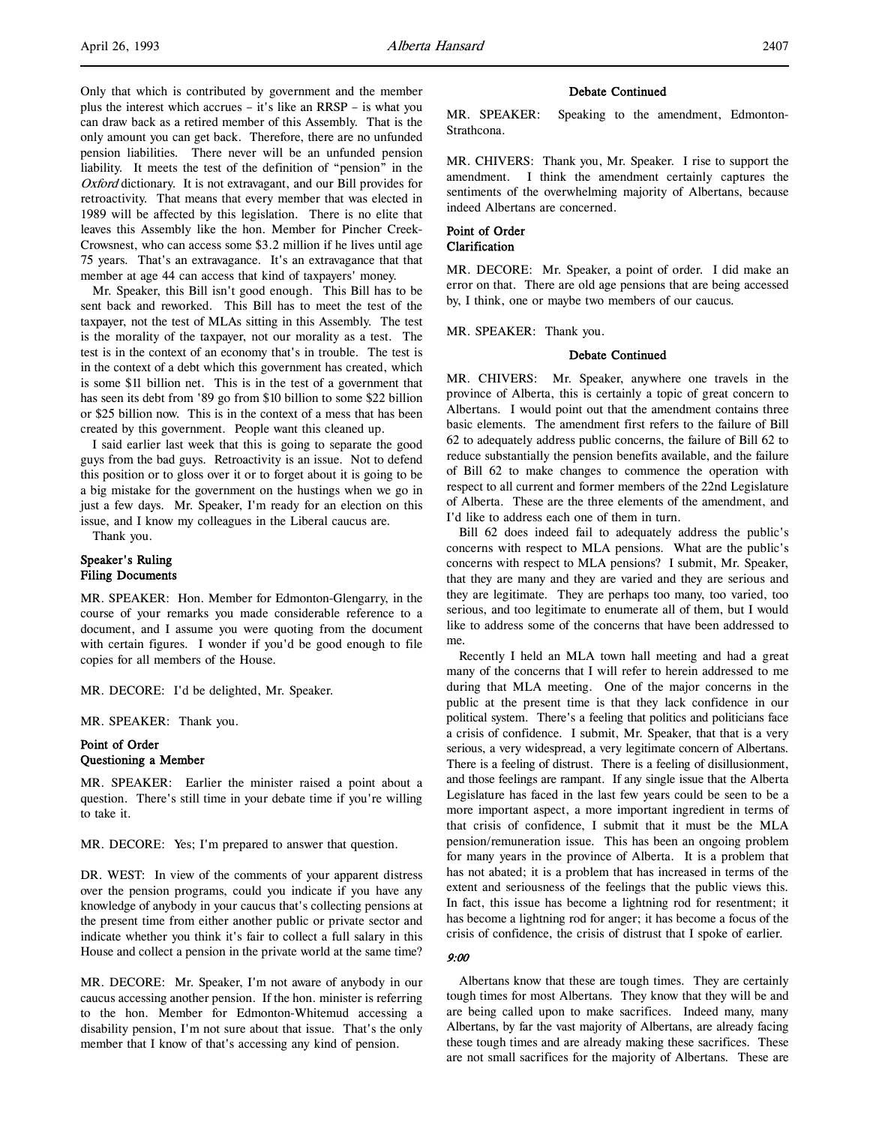Only that which is contributed by government and the member plus the interest which accrues – it's like an RRSP – is what you can draw back as a retired member of this Assembly. That is the only amount you can get back. Therefore, there are no unfunded pension liabilities. There never will be an unfunded pension liability. It meets the test of the definition of "pension" in the Oxford dictionary. It is not extravagant, and our Bill provides for retroactivity. That means that every member that was elected in 1989 will be affected by this legislation. There is no elite that leaves this Assembly like the hon. Member for Pincher Creek-Crowsnest, who can access some \$3.2 million if he lives until age 75 years. That's an extravagance. It's an extravagance that that member at age 44 can access that kind of taxpayers' money.

Mr. Speaker, this Bill isn't good enough. This Bill has to be sent back and reworked. This Bill has to meet the test of the taxpayer, not the test of MLAs sitting in this Assembly. The test is the morality of the taxpayer, not our morality as a test. The test is in the context of an economy that's in trouble. The test is in the context of a debt which this government has created, which is some \$11 billion net. This is in the test of a government that has seen its debt from '89 go from \$10 billion to some \$22 billion or \$25 billion now. This is in the context of a mess that has been created by this government. People want this cleaned up.

I said earlier last week that this is going to separate the good guys from the bad guys. Retroactivity is an issue. Not to defend this position or to gloss over it or to forget about it is going to be a big mistake for the government on the hustings when we go in just a few days. Mr. Speaker, I'm ready for an election on this issue, and I know my colleagues in the Liberal caucus are.

Thank you.

### Speaker's Ruling Filing Documents

MR. SPEAKER: Hon. Member for Edmonton-Glengarry, in the course of your remarks you made considerable reference to a document, and I assume you were quoting from the document with certain figures. I wonder if you'd be good enough to file copies for all members of the House.

MR. DECORE: I'd be delighted, Mr. Speaker.

MR. SPEAKER: Thank you.

### Point of Order Questioning a Member

MR. SPEAKER: Earlier the minister raised a point about a question. There's still time in your debate time if you're willing to take it.

MR. DECORE: Yes; I'm prepared to answer that question.

DR. WEST: In view of the comments of your apparent distress over the pension programs, could you indicate if you have any knowledge of anybody in your caucus that's collecting pensions at the present time from either another public or private sector and indicate whether you think it's fair to collect a full salary in this House and collect a pension in the private world at the same time?

MR. DECORE: Mr. Speaker, I'm not aware of anybody in our caucus accessing another pension. If the hon. minister is referring to the hon. Member for Edmonton-Whitemud accessing a disability pension, I'm not sure about that issue. That's the only member that I know of that's accessing any kind of pension.

#### Debate Continued

MR. SPEAKER: Speaking to the amendment, Edmonton-Strathcona.

MR. CHIVERS: Thank you, Mr. Speaker. I rise to support the amendment. I think the amendment certainly captures the sentiments of the overwhelming majority of Albertans, because indeed Albertans are concerned.

## Point of Order Clarification

MR. DECORE: Mr. Speaker, a point of order. I did make an error on that. There are old age pensions that are being accessed by, I think, one or maybe two members of our caucus.

MR. SPEAKER: Thank you.

#### Debate Continued

MR. CHIVERS: Mr. Speaker, anywhere one travels in the province of Alberta, this is certainly a topic of great concern to Albertans. I would point out that the amendment contains three basic elements. The amendment first refers to the failure of Bill 62 to adequately address public concerns, the failure of Bill 62 to reduce substantially the pension benefits available, and the failure of Bill 62 to make changes to commence the operation with respect to all current and former members of the 22nd Legislature of Alberta. These are the three elements of the amendment, and I'd like to address each one of them in turn.

Bill 62 does indeed fail to adequately address the public's concerns with respect to MLA pensions. What are the public's concerns with respect to MLA pensions? I submit, Mr. Speaker, that they are many and they are varied and they are serious and they are legitimate. They are perhaps too many, too varied, too serious, and too legitimate to enumerate all of them, but I would like to address some of the concerns that have been addressed to me.

Recently I held an MLA town hall meeting and had a great many of the concerns that I will refer to herein addressed to me during that MLA meeting. One of the major concerns in the public at the present time is that they lack confidence in our political system. There's a feeling that politics and politicians face a crisis of confidence. I submit, Mr. Speaker, that that is a very serious, a very widespread, a very legitimate concern of Albertans. There is a feeling of distrust. There is a feeling of disillusionment, and those feelings are rampant. If any single issue that the Alberta Legislature has faced in the last few years could be seen to be a more important aspect, a more important ingredient in terms of that crisis of confidence, I submit that it must be the MLA pension/remuneration issue. This has been an ongoing problem for many years in the province of Alberta. It is a problem that has not abated; it is a problem that has increased in terms of the extent and seriousness of the feelings that the public views this. In fact, this issue has become a lightning rod for resentment; it has become a lightning rod for anger; it has become a focus of the crisis of confidence, the crisis of distrust that I spoke of earlier.

#### 9:00

Albertans know that these are tough times. They are certainly tough times for most Albertans. They know that they will be and are being called upon to make sacrifices. Indeed many, many Albertans, by far the vast majority of Albertans, are already facing these tough times and are already making these sacrifices. These are not small sacrifices for the majority of Albertans. These are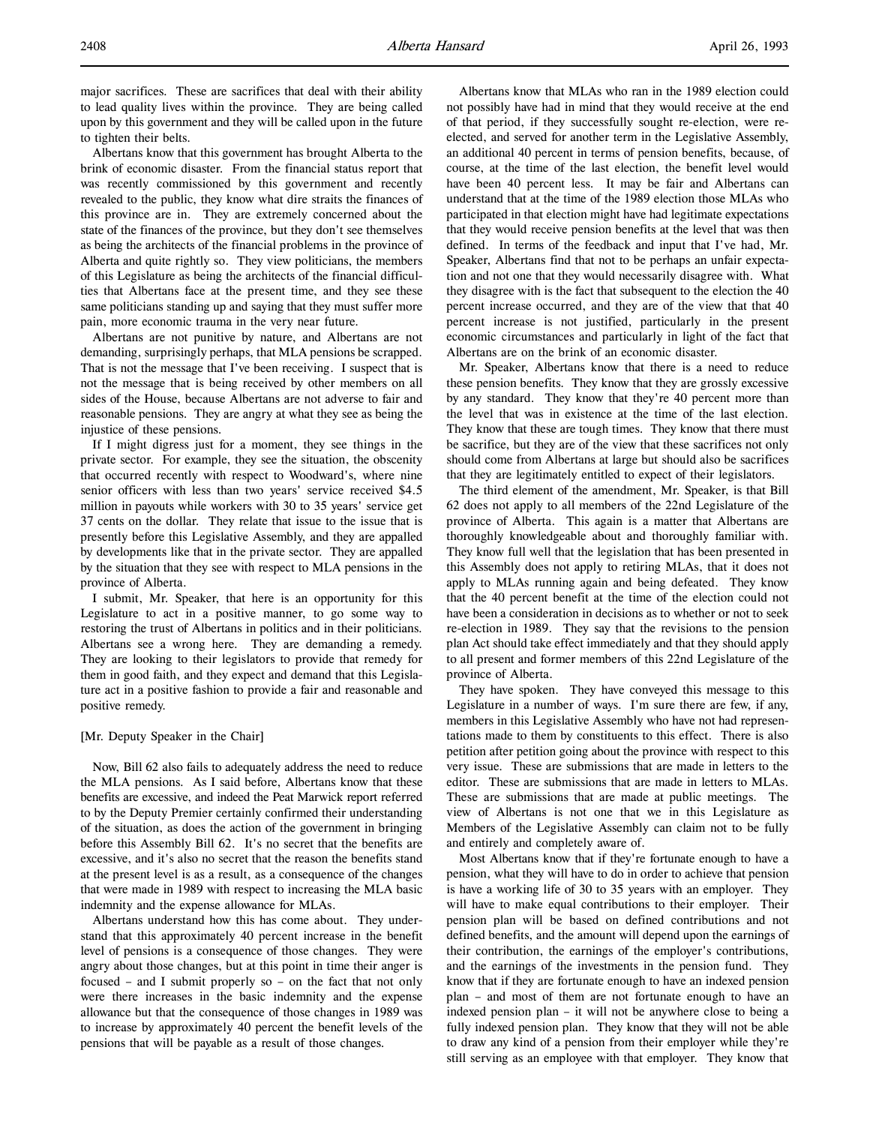major sacrifices. These are sacrifices that deal with their ability to lead quality lives within the province. They are being called upon by this government and they will be called upon in the future to tighten their belts.

Albertans know that this government has brought Alberta to the brink of economic disaster. From the financial status report that was recently commissioned by this government and recently revealed to the public, they know what dire straits the finances of this province are in. They are extremely concerned about the state of the finances of the province, but they don't see themselves as being the architects of the financial problems in the province of Alberta and quite rightly so. They view politicians, the members of this Legislature as being the architects of the financial difficulties that Albertans face at the present time, and they see these same politicians standing up and saying that they must suffer more pain, more economic trauma in the very near future.

Albertans are not punitive by nature, and Albertans are not demanding, surprisingly perhaps, that MLA pensions be scrapped. That is not the message that I've been receiving. I suspect that is not the message that is being received by other members on all sides of the House, because Albertans are not adverse to fair and reasonable pensions. They are angry at what they see as being the injustice of these pensions.

If I might digress just for a moment, they see things in the private sector. For example, they see the situation, the obscenity that occurred recently with respect to Woodward's, where nine senior officers with less than two years' service received \$4.5 million in payouts while workers with 30 to 35 years' service get 37 cents on the dollar. They relate that issue to the issue that is presently before this Legislative Assembly, and they are appalled by developments like that in the private sector. They are appalled by the situation that they see with respect to MLA pensions in the province of Alberta.

I submit, Mr. Speaker, that here is an opportunity for this Legislature to act in a positive manner, to go some way to restoring the trust of Albertans in politics and in their politicians. Albertans see a wrong here. They are demanding a remedy. They are looking to their legislators to provide that remedy for them in good faith, and they expect and demand that this Legislature act in a positive fashion to provide a fair and reasonable and positive remedy.

#### [Mr. Deputy Speaker in the Chair]

Now, Bill 62 also fails to adequately address the need to reduce the MLA pensions. As I said before, Albertans know that these benefits are excessive, and indeed the Peat Marwick report referred to by the Deputy Premier certainly confirmed their understanding of the situation, as does the action of the government in bringing before this Assembly Bill 62. It's no secret that the benefits are excessive, and it's also no secret that the reason the benefits stand at the present level is as a result, as a consequence of the changes that were made in 1989 with respect to increasing the MLA basic indemnity and the expense allowance for MLAs.

Albertans understand how this has come about. They understand that this approximately 40 percent increase in the benefit level of pensions is a consequence of those changes. They were angry about those changes, but at this point in time their anger is focused – and I submit properly so – on the fact that not only were there increases in the basic indemnity and the expense allowance but that the consequence of those changes in 1989 was to increase by approximately 40 percent the benefit levels of the pensions that will be payable as a result of those changes.

Albertans know that MLAs who ran in the 1989 election could not possibly have had in mind that they would receive at the end of that period, if they successfully sought re-election, were reelected, and served for another term in the Legislative Assembly, an additional 40 percent in terms of pension benefits, because, of course, at the time of the last election, the benefit level would have been 40 percent less. It may be fair and Albertans can understand that at the time of the 1989 election those MLAs who participated in that election might have had legitimate expectations that they would receive pension benefits at the level that was then defined. In terms of the feedback and input that I've had, Mr. Speaker, Albertans find that not to be perhaps an unfair expectation and not one that they would necessarily disagree with. What they disagree with is the fact that subsequent to the election the 40 percent increase occurred, and they are of the view that that 40 percent increase is not justified, particularly in the present economic circumstances and particularly in light of the fact that Albertans are on the brink of an economic disaster.

Mr. Speaker, Albertans know that there is a need to reduce these pension benefits. They know that they are grossly excessive by any standard. They know that they're 40 percent more than the level that was in existence at the time of the last election. They know that these are tough times. They know that there must be sacrifice, but they are of the view that these sacrifices not only should come from Albertans at large but should also be sacrifices that they are legitimately entitled to expect of their legislators.

The third element of the amendment, Mr. Speaker, is that Bill 62 does not apply to all members of the 22nd Legislature of the province of Alberta. This again is a matter that Albertans are thoroughly knowledgeable about and thoroughly familiar with. They know full well that the legislation that has been presented in this Assembly does not apply to retiring MLAs, that it does not apply to MLAs running again and being defeated. They know that the 40 percent benefit at the time of the election could not have been a consideration in decisions as to whether or not to seek re-election in 1989. They say that the revisions to the pension plan Act should take effect immediately and that they should apply to all present and former members of this 22nd Legislature of the province of Alberta.

They have spoken. They have conveyed this message to this Legislature in a number of ways. I'm sure there are few, if any, members in this Legislative Assembly who have not had representations made to them by constituents to this effect. There is also petition after petition going about the province with respect to this very issue. These are submissions that are made in letters to the editor. These are submissions that are made in letters to MLAs. These are submissions that are made at public meetings. The view of Albertans is not one that we in this Legislature as Members of the Legislative Assembly can claim not to be fully and entirely and completely aware of.

Most Albertans know that if they're fortunate enough to have a pension, what they will have to do in order to achieve that pension is have a working life of 30 to 35 years with an employer. They will have to make equal contributions to their employer. Their pension plan will be based on defined contributions and not defined benefits, and the amount will depend upon the earnings of their contribution, the earnings of the employer's contributions, and the earnings of the investments in the pension fund. They know that if they are fortunate enough to have an indexed pension plan – and most of them are not fortunate enough to have an indexed pension plan – it will not be anywhere close to being a fully indexed pension plan. They know that they will not be able to draw any kind of a pension from their employer while they're still serving as an employee with that employer. They know that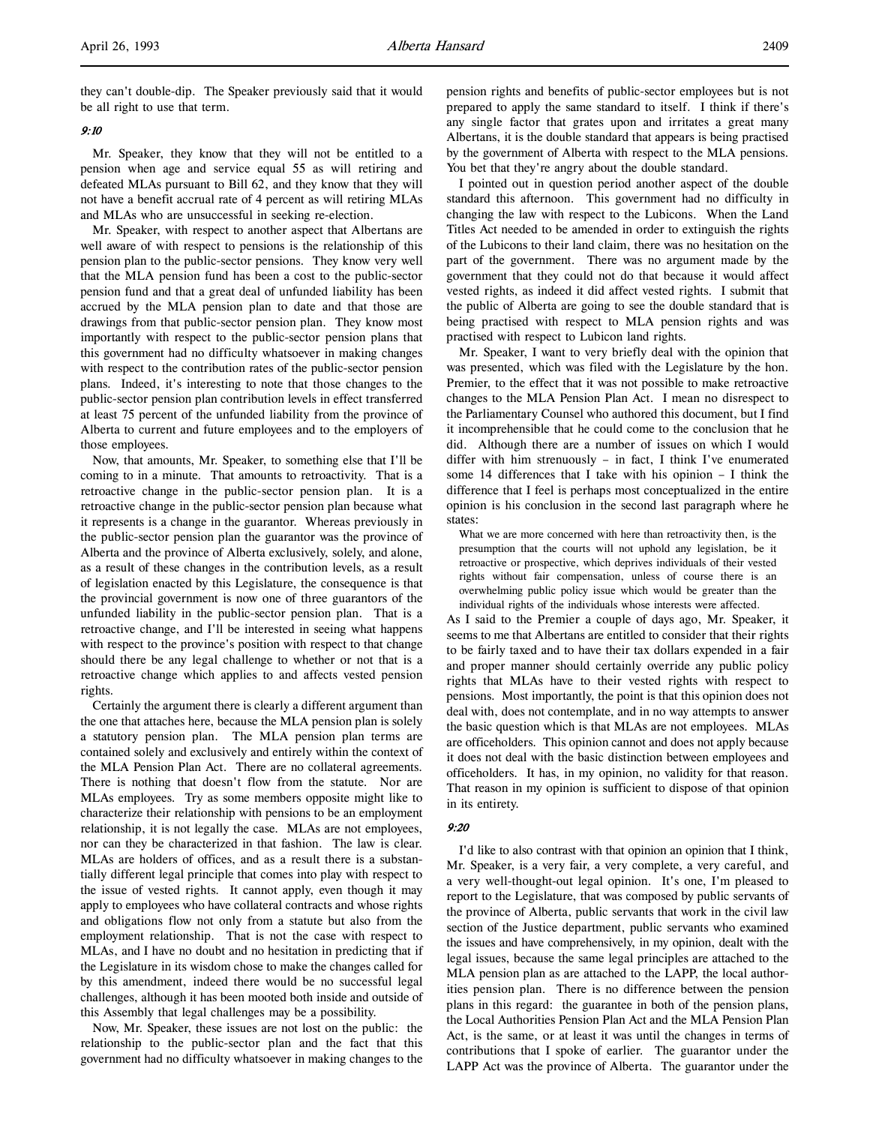they can't double-dip. The Speaker previously said that it would be all right to use that term.

## 9:10

Mr. Speaker, they know that they will not be entitled to a pension when age and service equal 55 as will retiring and defeated MLAs pursuant to Bill 62, and they know that they will not have a benefit accrual rate of 4 percent as will retiring MLAs and MLAs who are unsuccessful in seeking re-election.

Mr. Speaker, with respect to another aspect that Albertans are well aware of with respect to pensions is the relationship of this pension plan to the public-sector pensions. They know very well that the MLA pension fund has been a cost to the public-sector pension fund and that a great deal of unfunded liability has been accrued by the MLA pension plan to date and that those are drawings from that public-sector pension plan. They know most importantly with respect to the public-sector pension plans that this government had no difficulty whatsoever in making changes with respect to the contribution rates of the public-sector pension plans. Indeed, it's interesting to note that those changes to the public-sector pension plan contribution levels in effect transferred at least 75 percent of the unfunded liability from the province of Alberta to current and future employees and to the employers of those employees.

Now, that amounts, Mr. Speaker, to something else that I'll be coming to in a minute. That amounts to retroactivity. That is a retroactive change in the public-sector pension plan. It is a retroactive change in the public-sector pension plan because what it represents is a change in the guarantor. Whereas previously in the public-sector pension plan the guarantor was the province of Alberta and the province of Alberta exclusively, solely, and alone, as a result of these changes in the contribution levels, as a result of legislation enacted by this Legislature, the consequence is that the provincial government is now one of three guarantors of the unfunded liability in the public-sector pension plan. That is a retroactive change, and I'll be interested in seeing what happens with respect to the province's position with respect to that change should there be any legal challenge to whether or not that is a retroactive change which applies to and affects vested pension rights.

Certainly the argument there is clearly a different argument than the one that attaches here, because the MLA pension plan is solely a statutory pension plan. The MLA pension plan terms are contained solely and exclusively and entirely within the context of the MLA Pension Plan Act. There are no collateral agreements. There is nothing that doesn't flow from the statute. Nor are MLAs employees. Try as some members opposite might like to characterize their relationship with pensions to be an employment relationship, it is not legally the case. MLAs are not employees, nor can they be characterized in that fashion. The law is clear. MLAs are holders of offices, and as a result there is a substantially different legal principle that comes into play with respect to the issue of vested rights. It cannot apply, even though it may apply to employees who have collateral contracts and whose rights and obligations flow not only from a statute but also from the employment relationship. That is not the case with respect to MLAs, and I have no doubt and no hesitation in predicting that if the Legislature in its wisdom chose to make the changes called for by this amendment, indeed there would be no successful legal challenges, although it has been mooted both inside and outside of this Assembly that legal challenges may be a possibility.

Now, Mr. Speaker, these issues are not lost on the public: the relationship to the public-sector plan and the fact that this government had no difficulty whatsoever in making changes to the pension rights and benefits of public-sector employees but is not prepared to apply the same standard to itself. I think if there's any single factor that grates upon and irritates a great many Albertans, it is the double standard that appears is being practised by the government of Alberta with respect to the MLA pensions. You bet that they're angry about the double standard.

I pointed out in question period another aspect of the double standard this afternoon. This government had no difficulty in changing the law with respect to the Lubicons. When the Land Titles Act needed to be amended in order to extinguish the rights of the Lubicons to their land claim, there was no hesitation on the part of the government. There was no argument made by the government that they could not do that because it would affect vested rights, as indeed it did affect vested rights. I submit that the public of Alberta are going to see the double standard that is being practised with respect to MLA pension rights and was practised with respect to Lubicon land rights.

Mr. Speaker, I want to very briefly deal with the opinion that was presented, which was filed with the Legislature by the hon. Premier, to the effect that it was not possible to make retroactive changes to the MLA Pension Plan Act. I mean no disrespect to the Parliamentary Counsel who authored this document, but I find it incomprehensible that he could come to the conclusion that he did. Although there are a number of issues on which I would differ with him strenuously – in fact, I think I've enumerated some 14 differences that I take with his opinion – I think the difference that I feel is perhaps most conceptualized in the entire opinion is his conclusion in the second last paragraph where he states:

What we are more concerned with here than retroactivity then, is the presumption that the courts will not uphold any legislation, be it retroactive or prospective, which deprives individuals of their vested rights without fair compensation, unless of course there is an overwhelming public policy issue which would be greater than the individual rights of the individuals whose interests were affected.

As I said to the Premier a couple of days ago, Mr. Speaker, it seems to me that Albertans are entitled to consider that their rights to be fairly taxed and to have their tax dollars expended in a fair and proper manner should certainly override any public policy rights that MLAs have to their vested rights with respect to pensions. Most importantly, the point is that this opinion does not deal with, does not contemplate, and in no way attempts to answer the basic question which is that MLAs are not employees. MLAs are officeholders. This opinion cannot and does not apply because it does not deal with the basic distinction between employees and officeholders. It has, in my opinion, no validity for that reason. That reason in my opinion is sufficient to dispose of that opinion in its entirety.

#### 9:20

I'd like to also contrast with that opinion an opinion that I think, Mr. Speaker, is a very fair, a very complete, a very careful, and a very well-thought-out legal opinion. It's one, I'm pleased to report to the Legislature, that was composed by public servants of the province of Alberta, public servants that work in the civil law section of the Justice department, public servants who examined the issues and have comprehensively, in my opinion, dealt with the legal issues, because the same legal principles are attached to the MLA pension plan as are attached to the LAPP, the local authorities pension plan. There is no difference between the pension plans in this regard: the guarantee in both of the pension plans, the Local Authorities Pension Plan Act and the MLA Pension Plan Act, is the same, or at least it was until the changes in terms of contributions that I spoke of earlier. The guarantor under the LAPP Act was the province of Alberta. The guarantor under the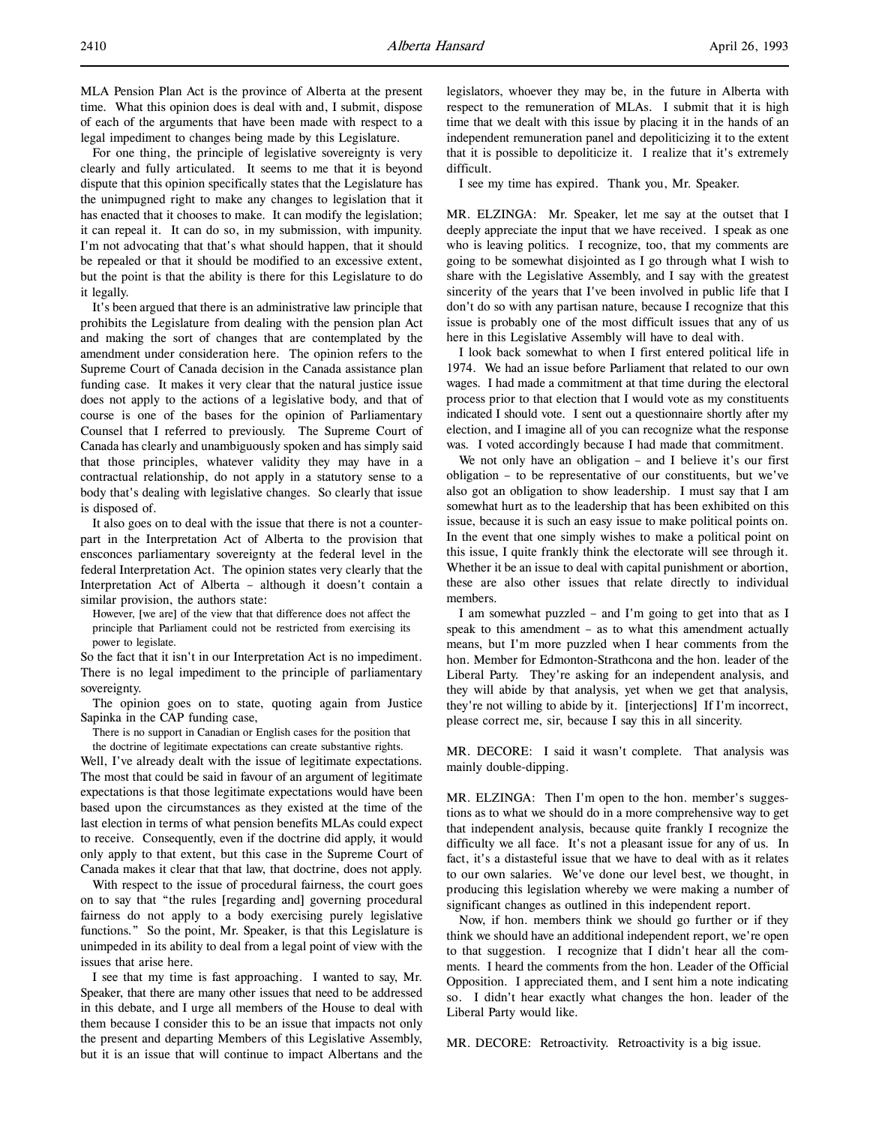MLA Pension Plan Act is the province of Alberta at the present time. What this opinion does is deal with and, I submit, dispose of each of the arguments that have been made with respect to a legal impediment to changes being made by this Legislature.

For one thing, the principle of legislative sovereignty is very clearly and fully articulated. It seems to me that it is beyond dispute that this opinion specifically states that the Legislature has the unimpugned right to make any changes to legislation that it has enacted that it chooses to make. It can modify the legislation; it can repeal it. It can do so, in my submission, with impunity. I'm not advocating that that's what should happen, that it should be repealed or that it should be modified to an excessive extent, but the point is that the ability is there for this Legislature to do it legally.

It's been argued that there is an administrative law principle that prohibits the Legislature from dealing with the pension plan Act and making the sort of changes that are contemplated by the amendment under consideration here. The opinion refers to the Supreme Court of Canada decision in the Canada assistance plan funding case. It makes it very clear that the natural justice issue does not apply to the actions of a legislative body, and that of course is one of the bases for the opinion of Parliamentary Counsel that I referred to previously. The Supreme Court of Canada has clearly and unambiguously spoken and has simply said that those principles, whatever validity they may have in a contractual relationship, do not apply in a statutory sense to a body that's dealing with legislative changes. So clearly that issue is disposed of.

It also goes on to deal with the issue that there is not a counterpart in the Interpretation Act of Alberta to the provision that ensconces parliamentary sovereignty at the federal level in the federal Interpretation Act. The opinion states very clearly that the Interpretation Act of Alberta – although it doesn't contain a similar provision, the authors state:

However, [we are] of the view that that difference does not affect the principle that Parliament could not be restricted from exercising its power to legislate.

So the fact that it isn't in our Interpretation Act is no impediment. There is no legal impediment to the principle of parliamentary sovereignty.

The opinion goes on to state, quoting again from Justice Sapinka in the CAP funding case,

There is no support in Canadian or English cases for the position that the doctrine of legitimate expectations can create substantive rights.

Well, I've already dealt with the issue of legitimate expectations. The most that could be said in favour of an argument of legitimate expectations is that those legitimate expectations would have been based upon the circumstances as they existed at the time of the last election in terms of what pension benefits MLAs could expect to receive. Consequently, even if the doctrine did apply, it would only apply to that extent, but this case in the Supreme Court of Canada makes it clear that that law, that doctrine, does not apply.

With respect to the issue of procedural fairness, the court goes on to say that "the rules [regarding and] governing procedural fairness do not apply to a body exercising purely legislative functions." So the point, Mr. Speaker, is that this Legislature is unimpeded in its ability to deal from a legal point of view with the issues that arise here.

I see that my time is fast approaching. I wanted to say, Mr. Speaker, that there are many other issues that need to be addressed in this debate, and I urge all members of the House to deal with them because I consider this to be an issue that impacts not only the present and departing Members of this Legislative Assembly, but it is an issue that will continue to impact Albertans and the

legislators, whoever they may be, in the future in Alberta with respect to the remuneration of MLAs. I submit that it is high time that we dealt with this issue by placing it in the hands of an independent remuneration panel and depoliticizing it to the extent that it is possible to depoliticize it. I realize that it's extremely difficult.

I see my time has expired. Thank you, Mr. Speaker.

MR. ELZINGA: Mr. Speaker, let me say at the outset that I deeply appreciate the input that we have received. I speak as one who is leaving politics. I recognize, too, that my comments are going to be somewhat disjointed as I go through what I wish to share with the Legislative Assembly, and I say with the greatest sincerity of the years that I've been involved in public life that I don't do so with any partisan nature, because I recognize that this issue is probably one of the most difficult issues that any of us here in this Legislative Assembly will have to deal with.

I look back somewhat to when I first entered political life in 1974. We had an issue before Parliament that related to our own wages. I had made a commitment at that time during the electoral process prior to that election that I would vote as my constituents indicated I should vote. I sent out a questionnaire shortly after my election, and I imagine all of you can recognize what the response was. I voted accordingly because I had made that commitment.

We not only have an obligation – and I believe it's our first obligation – to be representative of our constituents, but we've also got an obligation to show leadership. I must say that I am somewhat hurt as to the leadership that has been exhibited on this issue, because it is such an easy issue to make political points on. In the event that one simply wishes to make a political point on this issue, I quite frankly think the electorate will see through it. Whether it be an issue to deal with capital punishment or abortion, these are also other issues that relate directly to individual members.

I am somewhat puzzled – and I'm going to get into that as I speak to this amendment – as to what this amendment actually means, but I'm more puzzled when I hear comments from the hon. Member for Edmonton-Strathcona and the hon. leader of the Liberal Party. They're asking for an independent analysis, and they will abide by that analysis, yet when we get that analysis, they're not willing to abide by it. [interjections] If I'm incorrect, please correct me, sir, because I say this in all sincerity.

MR. DECORE: I said it wasn't complete. That analysis was mainly double-dipping.

MR. ELZINGA: Then I'm open to the hon. member's suggestions as to what we should do in a more comprehensive way to get that independent analysis, because quite frankly I recognize the difficulty we all face. It's not a pleasant issue for any of us. In fact, it's a distasteful issue that we have to deal with as it relates to our own salaries. We've done our level best, we thought, in producing this legislation whereby we were making a number of significant changes as outlined in this independent report.

Now, if hon. members think we should go further or if they think we should have an additional independent report, we're open to that suggestion. I recognize that I didn't hear all the comments. I heard the comments from the hon. Leader of the Official Opposition. I appreciated them, and I sent him a note indicating so. I didn't hear exactly what changes the hon. leader of the Liberal Party would like.

MR. DECORE: Retroactivity. Retroactivity is a big issue.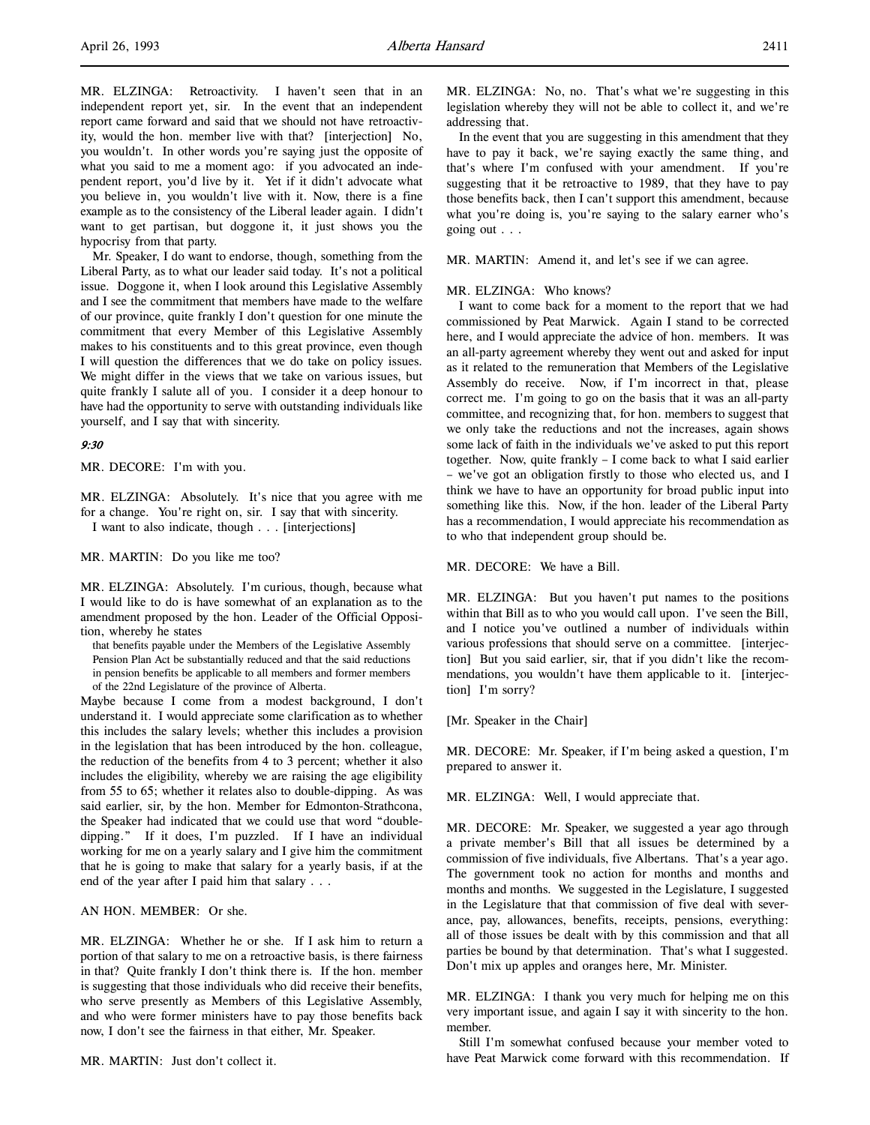MR. ELZINGA: Retroactivity. I haven't seen that in an independent report yet, sir. In the event that an independent report came forward and said that we should not have retroactivity, would the hon. member live with that? [interjection] No, you wouldn't. In other words you're saying just the opposite of what you said to me a moment ago: if you advocated an independent report, you'd live by it. Yet if it didn't advocate what you believe in, you wouldn't live with it. Now, there is a fine example as to the consistency of the Liberal leader again. I didn't want to get partisan, but doggone it, it just shows you the hypocrisy from that party.

Mr. Speaker, I do want to endorse, though, something from the Liberal Party, as to what our leader said today. It's not a political issue. Doggone it, when I look around this Legislative Assembly and I see the commitment that members have made to the welfare of our province, quite frankly I don't question for one minute the commitment that every Member of this Legislative Assembly makes to his constituents and to this great province, even though I will question the differences that we do take on policy issues. We might differ in the views that we take on various issues, but quite frankly I salute all of you. I consider it a deep honour to have had the opportunity to serve with outstanding individuals like yourself, and I say that with sincerity.

## 9:30

MR. DECORE: I'm with you.

MR. ELZINGA: Absolutely. It's nice that you agree with me for a change. You're right on, sir. I say that with sincerity. I want to also indicate, though . . . [interjections]

MR. MARTIN: Do you like me too?

MR. ELZINGA: Absolutely. I'm curious, though, because what I would like to do is have somewhat of an explanation as to the amendment proposed by the hon. Leader of the Official Opposition, whereby he states

that benefits payable under the Members of the Legislative Assembly Pension Plan Act be substantially reduced and that the said reductions in pension benefits be applicable to all members and former members of the 22nd Legislature of the province of Alberta.

Maybe because I come from a modest background, I don't understand it. I would appreciate some clarification as to whether this includes the salary levels; whether this includes a provision in the legislation that has been introduced by the hon. colleague, the reduction of the benefits from 4 to 3 percent; whether it also includes the eligibility, whereby we are raising the age eligibility from 55 to 65; whether it relates also to double-dipping. As was said earlier, sir, by the hon. Member for Edmonton-Strathcona, the Speaker had indicated that we could use that word "doubledipping." If it does, I'm puzzled. If I have an individual working for me on a yearly salary and I give him the commitment that he is going to make that salary for a yearly basis, if at the end of the year after I paid him that salary . . .

AN HON. MEMBER: Or she.

MR. ELZINGA: Whether he or she. If I ask him to return a portion of that salary to me on a retroactive basis, is there fairness in that? Quite frankly I don't think there is. If the hon. member is suggesting that those individuals who did receive their benefits, who serve presently as Members of this Legislative Assembly, and who were former ministers have to pay those benefits back now, I don't see the fairness in that either, Mr. Speaker.

MR. MARTIN: Just don't collect it.

MR. ELZINGA: No, no. That's what we're suggesting in this legislation whereby they will not be able to collect it, and we're addressing that.

In the event that you are suggesting in this amendment that they have to pay it back, we're saying exactly the same thing, and that's where I'm confused with your amendment. If you're suggesting that it be retroactive to 1989, that they have to pay those benefits back, then I can't support this amendment, because what you're doing is, you're saying to the salary earner who's going out . . .

MR. MARTIN: Amend it, and let's see if we can agree.

#### MR. ELZINGA: Who knows?

I want to come back for a moment to the report that we had commissioned by Peat Marwick. Again I stand to be corrected here, and I would appreciate the advice of hon. members. It was an all-party agreement whereby they went out and asked for input as it related to the remuneration that Members of the Legislative Assembly do receive. Now, if I'm incorrect in that, please correct me. I'm going to go on the basis that it was an all-party committee, and recognizing that, for hon. members to suggest that we only take the reductions and not the increases, again shows some lack of faith in the individuals we've asked to put this report together. Now, quite frankly – I come back to what I said earlier – we've got an obligation firstly to those who elected us, and I think we have to have an opportunity for broad public input into something like this. Now, if the hon. leader of the Liberal Party has a recommendation, I would appreciate his recommendation as to who that independent group should be.

MR. DECORE: We have a Bill.

MR. ELZINGA: But you haven't put names to the positions within that Bill as to who you would call upon. I've seen the Bill, and I notice you've outlined a number of individuals within various professions that should serve on a committee. [interjection] But you said earlier, sir, that if you didn't like the recommendations, you wouldn't have them applicable to it. [interjection] I'm sorry?

[Mr. Speaker in the Chair]

MR. DECORE: Mr. Speaker, if I'm being asked a question, I'm prepared to answer it.

MR. ELZINGA: Well, I would appreciate that.

MR. DECORE: Mr. Speaker, we suggested a year ago through a private member's Bill that all issues be determined by a commission of five individuals, five Albertans. That's a year ago. The government took no action for months and months and months and months. We suggested in the Legislature, I suggested in the Legislature that that commission of five deal with severance, pay, allowances, benefits, receipts, pensions, everything: all of those issues be dealt with by this commission and that all parties be bound by that determination. That's what I suggested. Don't mix up apples and oranges here, Mr. Minister.

MR. ELZINGA: I thank you very much for helping me on this very important issue, and again I say it with sincerity to the hon. member.

Still I'm somewhat confused because your member voted to have Peat Marwick come forward with this recommendation. If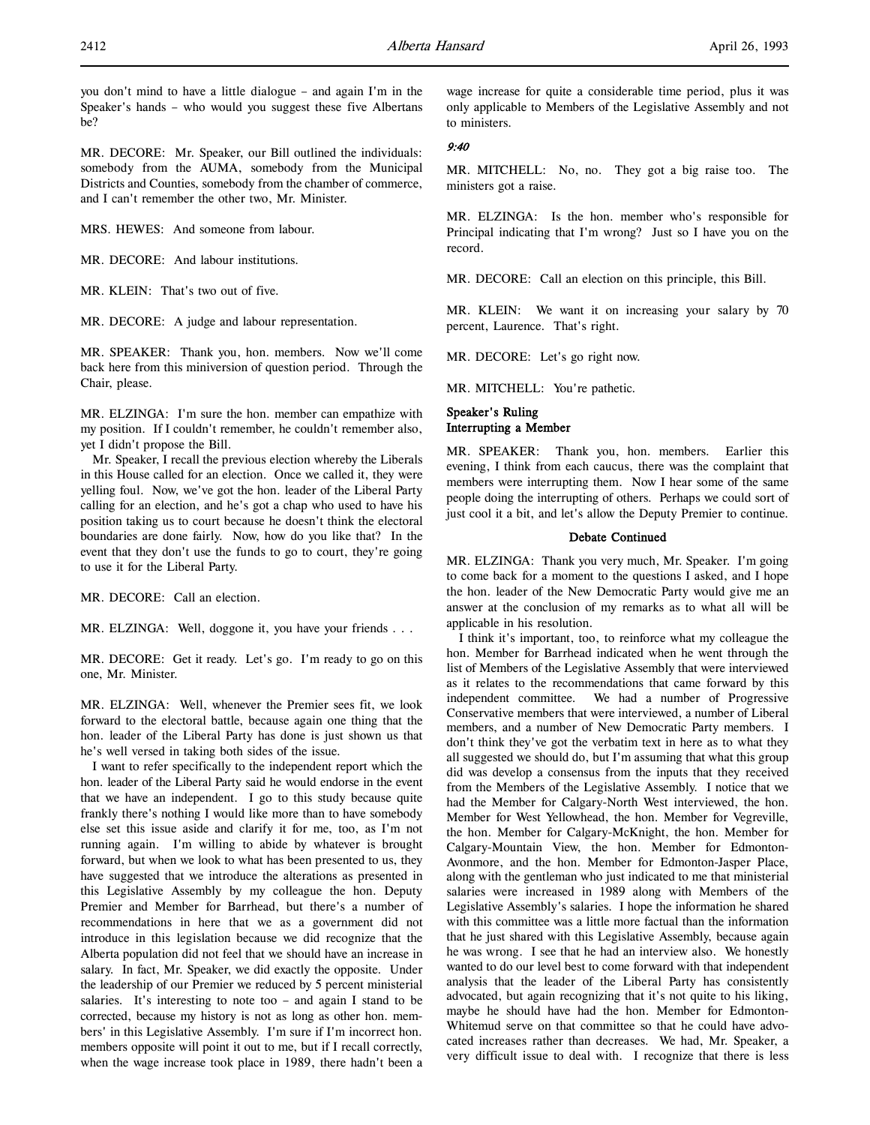you don't mind to have a little dialogue – and again I'm in the Speaker's hands – who would you suggest these five Albertans be?

MR. DECORE: Mr. Speaker, our Bill outlined the individuals: somebody from the AUMA, somebody from the Municipal Districts and Counties, somebody from the chamber of commerce, and I can't remember the other two, Mr. Minister.

MRS. HEWES: And someone from labour.

MR. DECORE: And labour institutions.

MR. KLEIN: That's two out of five.

MR. DECORE: A judge and labour representation.

MR. SPEAKER: Thank you, hon. members. Now we'll come back here from this miniversion of question period. Through the Chair, please.

MR. ELZINGA: I'm sure the hon. member can empathize with my position. If I couldn't remember, he couldn't remember also, yet I didn't propose the Bill.

Mr. Speaker, I recall the previous election whereby the Liberals in this House called for an election. Once we called it, they were yelling foul. Now, we've got the hon. leader of the Liberal Party calling for an election, and he's got a chap who used to have his position taking us to court because he doesn't think the electoral boundaries are done fairly. Now, how do you like that? In the event that they don't use the funds to go to court, they're going to use it for the Liberal Party.

MR. DECORE: Call an election.

MR. ELZINGA: Well, doggone it, you have your friends . . .

MR. DECORE: Get it ready. Let's go. I'm ready to go on this one, Mr. Minister.

MR. ELZINGA: Well, whenever the Premier sees fit, we look forward to the electoral battle, because again one thing that the hon. leader of the Liberal Party has done is just shown us that he's well versed in taking both sides of the issue.

I want to refer specifically to the independent report which the hon. leader of the Liberal Party said he would endorse in the event that we have an independent. I go to this study because quite frankly there's nothing I would like more than to have somebody else set this issue aside and clarify it for me, too, as I'm not running again. I'm willing to abide by whatever is brought forward, but when we look to what has been presented to us, they have suggested that we introduce the alterations as presented in this Legislative Assembly by my colleague the hon. Deputy Premier and Member for Barrhead, but there's a number of recommendations in here that we as a government did not introduce in this legislation because we did recognize that the Alberta population did not feel that we should have an increase in salary. In fact, Mr. Speaker, we did exactly the opposite. Under the leadership of our Premier we reduced by 5 percent ministerial salaries. It's interesting to note too  $-$  and again I stand to be corrected, because my history is not as long as other hon. members' in this Legislative Assembly. I'm sure if I'm incorrect hon. members opposite will point it out to me, but if I recall correctly, when the wage increase took place in 1989, there hadn't been a

wage increase for quite a considerable time period, plus it was only applicable to Members of the Legislative Assembly and not to ministers.

### 9:40

MR. MITCHELL: No, no. They got a big raise too. The ministers got a raise.

MR. ELZINGA: Is the hon. member who's responsible for Principal indicating that I'm wrong? Just so I have you on the record.

MR. DECORE: Call an election on this principle, this Bill.

MR. KLEIN: We want it on increasing your salary by 70 percent, Laurence. That's right.

MR. DECORE: Let's go right now.

MR. MITCHELL: You're pathetic.

## Speaker's Ruling Interrupting a Member

MR. SPEAKER: Thank you, hon. members. Earlier this evening, I think from each caucus, there was the complaint that members were interrupting them. Now I hear some of the same people doing the interrupting of others. Perhaps we could sort of just cool it a bit, and let's allow the Deputy Premier to continue.

### Debate Continued

MR. ELZINGA: Thank you very much, Mr. Speaker. I'm going to come back for a moment to the questions I asked, and I hope the hon. leader of the New Democratic Party would give me an answer at the conclusion of my remarks as to what all will be applicable in his resolution.

I think it's important, too, to reinforce what my colleague the hon. Member for Barrhead indicated when he went through the list of Members of the Legislative Assembly that were interviewed as it relates to the recommendations that came forward by this independent committee. We had a number of Progressive Conservative members that were interviewed, a number of Liberal members, and a number of New Democratic Party members. I don't think they've got the verbatim text in here as to what they all suggested we should do, but I'm assuming that what this group did was develop a consensus from the inputs that they received from the Members of the Legislative Assembly. I notice that we had the Member for Calgary-North West interviewed, the hon. Member for West Yellowhead, the hon. Member for Vegreville, the hon. Member for Calgary-McKnight, the hon. Member for Calgary-Mountain View, the hon. Member for Edmonton-Avonmore, and the hon. Member for Edmonton-Jasper Place, along with the gentleman who just indicated to me that ministerial salaries were increased in 1989 along with Members of the Legislative Assembly's salaries. I hope the information he shared with this committee was a little more factual than the information that he just shared with this Legislative Assembly, because again he was wrong. I see that he had an interview also. We honestly wanted to do our level best to come forward with that independent analysis that the leader of the Liberal Party has consistently advocated, but again recognizing that it's not quite to his liking, maybe he should have had the hon. Member for Edmonton-Whitemud serve on that committee so that he could have advocated increases rather than decreases. We had, Mr. Speaker, a very difficult issue to deal with. I recognize that there is less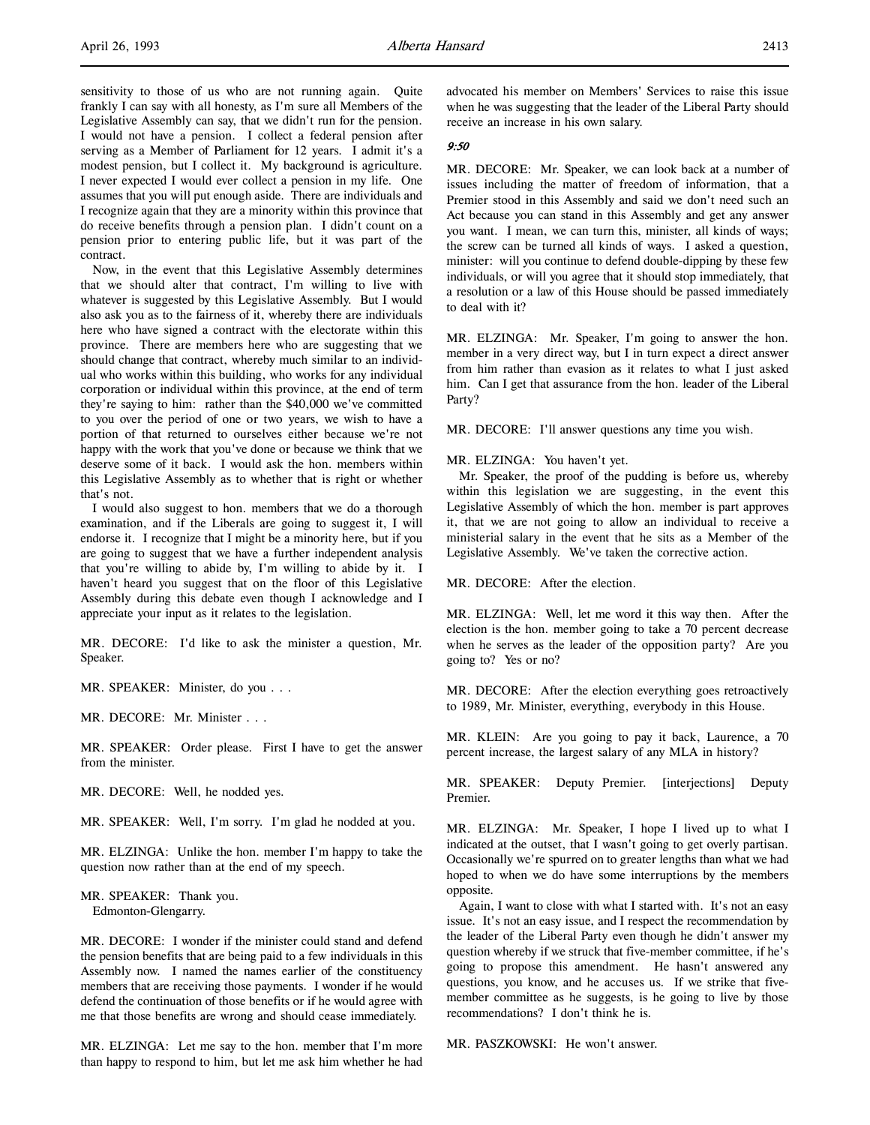sensitivity to those of us who are not running again. Quite frankly I can say with all honesty, as I'm sure all Members of the Legislative Assembly can say, that we didn't run for the pension. I would not have a pension. I collect a federal pension after serving as a Member of Parliament for 12 years. I admit it's a modest pension, but I collect it. My background is agriculture. I never expected I would ever collect a pension in my life. One assumes that you will put enough aside. There are individuals and I recognize again that they are a minority within this province that do receive benefits through a pension plan. I didn't count on a pension prior to entering public life, but it was part of the contract.

Now, in the event that this Legislative Assembly determines that we should alter that contract, I'm willing to live with whatever is suggested by this Legislative Assembly. But I would also ask you as to the fairness of it, whereby there are individuals here who have signed a contract with the electorate within this province. There are members here who are suggesting that we should change that contract, whereby much similar to an individual who works within this building, who works for any individual corporation or individual within this province, at the end of term they're saying to him: rather than the \$40,000 we've committed to you over the period of one or two years, we wish to have a portion of that returned to ourselves either because we're not happy with the work that you've done or because we think that we deserve some of it back. I would ask the hon. members within this Legislative Assembly as to whether that is right or whether that's not.

I would also suggest to hon. members that we do a thorough examination, and if the Liberals are going to suggest it, I will endorse it. I recognize that I might be a minority here, but if you are going to suggest that we have a further independent analysis that you're willing to abide by, I'm willing to abide by it. I haven't heard you suggest that on the floor of this Legislative Assembly during this debate even though I acknowledge and I appreciate your input as it relates to the legislation.

MR. DECORE: I'd like to ask the minister a question, Mr. Speaker.

MR. SPEAKER: Minister, do you . . .

MR. DECORE: Mr. Minister . . .

MR. SPEAKER: Order please. First I have to get the answer from the minister.

MR. DECORE: Well, he nodded yes.

MR. SPEAKER: Well, I'm sorry. I'm glad he nodded at you.

MR. ELZINGA: Unlike the hon. member I'm happy to take the question now rather than at the end of my speech.

MR. SPEAKER: Thank you. Edmonton-Glengarry.

MR. DECORE: I wonder if the minister could stand and defend the pension benefits that are being paid to a few individuals in this Assembly now. I named the names earlier of the constituency members that are receiving those payments. I wonder if he would defend the continuation of those benefits or if he would agree with me that those benefits are wrong and should cease immediately.

MR. ELZINGA: Let me say to the hon. member that I'm more than happy to respond to him, but let me ask him whether he had

advocated his member on Members' Services to raise this issue when he was suggesting that the leader of the Liberal Party should receive an increase in his own salary.

#### 9:50

MR. DECORE: Mr. Speaker, we can look back at a number of issues including the matter of freedom of information, that a Premier stood in this Assembly and said we don't need such an Act because you can stand in this Assembly and get any answer you want. I mean, we can turn this, minister, all kinds of ways; the screw can be turned all kinds of ways. I asked a question, minister: will you continue to defend double-dipping by these few individuals, or will you agree that it should stop immediately, that a resolution or a law of this House should be passed immediately to deal with it?

MR. ELZINGA: Mr. Speaker, I'm going to answer the hon. member in a very direct way, but I in turn expect a direct answer from him rather than evasion as it relates to what I just asked him. Can I get that assurance from the hon. leader of the Liberal Party?

MR. DECORE: I'll answer questions any time you wish.

MR. ELZINGA: You haven't yet.

Mr. Speaker, the proof of the pudding is before us, whereby within this legislation we are suggesting, in the event this Legislative Assembly of which the hon. member is part approves it, that we are not going to allow an individual to receive a ministerial salary in the event that he sits as a Member of the Legislative Assembly. We've taken the corrective action.

MR. DECORE: After the election.

MR. ELZINGA: Well, let me word it this way then. After the election is the hon. member going to take a 70 percent decrease when he serves as the leader of the opposition party? Are you going to? Yes or no?

MR. DECORE: After the election everything goes retroactively to 1989, Mr. Minister, everything, everybody in this House.

MR. KLEIN: Are you going to pay it back, Laurence, a 70 percent increase, the largest salary of any MLA in history?

MR. SPEAKER: Deputy Premier. [interjections] Deputy Premier.

MR. ELZINGA: Mr. Speaker, I hope I lived up to what I indicated at the outset, that I wasn't going to get overly partisan. Occasionally we're spurred on to greater lengths than what we had hoped to when we do have some interruptions by the members opposite.

Again, I want to close with what I started with. It's not an easy issue. It's not an easy issue, and I respect the recommendation by the leader of the Liberal Party even though he didn't answer my question whereby if we struck that five-member committee, if he's going to propose this amendment. He hasn't answered any questions, you know, and he accuses us. If we strike that fivemember committee as he suggests, is he going to live by those recommendations? I don't think he is.

MR. PASZKOWSKI: He won't answer.